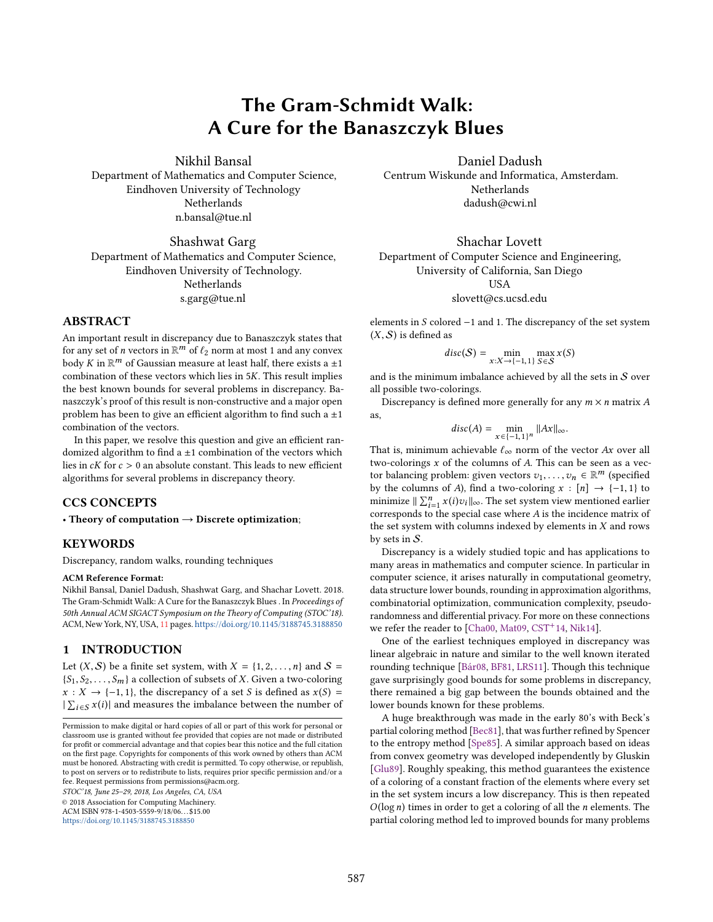# The Gram-Schmidt Walk: A Cure for the Banaszczyk Blues

Nikhil Bansal Department of Mathematics and Computer Science, Eindhoven University of Technology **Netherlands** n.bansal@tue.nl

# Shashwat Garg Department of Mathematics and Computer Science, Eindhoven University of Technology. Netherlands s.garg@tue.nl

## ABSTRACT

An important result in discrepancy due to Banaszczyk states that for any set of *n* vectors in  $\mathbb{R}^m$  of  $\ell_2$  norm at most 1 and any convex<br>hody  $K$  in  $\mathbb{R}^m$  of Gaussian measure at least half there exists a  $+1$ body  $\bar{K}$  in  $\mathbb{R}^m$  of Gaussian measure at least half, there exists a  $\pm 1$ <br>combination of these vectors which lies in 5K. This result implies combination of these vectors which lies in <sup>5</sup>K. This result implies the best known bounds for several problems in discrepancy. Banaszczyk's proof of this result is non-constructive and a major open problem has been to give an efficient algorithm to find such a  $\pm 1$ combination of the vectors.

In this paper, we resolve this question and give an efficient randomized algorithm to find a  $\pm 1$  combination of the vectors which lies in  $cK$  for  $c > 0$  an absolute constant. This leads to new efficient algorithms for several problems in discrepancy theory.

# CCS CONCEPTS

• Theory of computation  $\rightarrow$  Discrete optimization;

# **KEYWORDS**

Discrepancy, random walks, rounding techniques

#### ACM Reference Format:

Nikhil Bansal, Daniel Dadush, Shashwat Garg, and Shachar Lovett. 2018. The Gram-Schmidt Walk: A Cure for the Banaszczyk Blues . In Proceedings of 50th Annual ACM SIGACT Symposium on the Theory of Computing (STOC'18). ACM, New York, NY, USA, [11](#page-10-0) pages. <https://doi.org/10.1145/3188745.3188850>

# 1 INTRODUCTION

Let  $(X, S)$  be a finite set system, with  $X = \{1, 2, \ldots, n\}$  and  $S =$  $\{S_1, S_2, \ldots, S_m\}$  a collection of subsets of X. Given a two-coloring  $x: X \to \{-1, 1\}$ , the discrepancy of a set S is defined as  $x(S) =$  $|\sum_{i \in S} x(i)|$  and measures the imbalance between the number of

STOC'18, June 25–29, 2018, Los Angeles, CA, USA

© 2018 Association for Computing Machinery.

ACM ISBN 978-1-4503-5559-9/18/06. . . \$15.00

<https://doi.org/10.1145/3188745.3188850>

Daniel Dadush Centrum Wiskunde and Informatica, Amsterdam. Netherlands dadush@cwi.nl

Shachar Lovett Department of Computer Science and Engineering, University of California, San Diego USA

slovett@cs.ucsd.edu

elements in S colored <sup>−</sup><sup>1</sup> and 1. The discrepancy of the set system  $(X, S)$  is defined as

$$
disc(S) = \min_{x:X \to \{-1,1\}} \max_{S \in S} x(S)
$$

and is the minimum imbalance achieved by all the sets in  $S$  over all possible two-colorings.

Discrepancy is defined more generally for any  $m \times n$  matrix A as,

 $disc(A) = \min_{x \in \{-1,1\}^n} ||Ax||_{\infty}.$ 

That is, minimum achievable  $\ell_{\infty}$  norm of the vector Ax over all two-colorings  $x$  of the columns of  $A$ . This can be seen as a vector balancing problem: given vectors  $v_1, \ldots, v_n \in \mathbb{R}^m$  (specified<br>by the columns of 4), find a two-coloring  $x : [n] \rightarrow [-1, 1]$  to by the columns of A), find a two-coloring  $x : [n] \rightarrow \{-1, 1\}$  to minimize  $||\sum_{i=1}^{n} x(i)v_i||_{\infty}$ . The set system view mentioned earlier<br>corresponds to the special case where A is the incidence matrix of minimize  $\sum_{i=1}^{\infty} x(i)v_i$ , i.e. set system view mentioned earlier<br>corresponds to the special case where A is the incidence matrix of<br>the set system with columns indexed by elements in X and rows the set system with columns indexed by elements in  $X$  and rows by sets in  $S$ .

Discrepancy is a widely studied topic and has applications to many areas in mathematics and computer science. In particular in computer science, it arises naturally in computational geometry, data structure lower bounds, rounding in approximation algorithms, combinatorial optimization, communication complexity, pseudorandomness and differential privacy. For more on these connections we refer the reader to [\[Cha00,](#page-10-1) [Mat09,](#page-10-2) [CST](#page-10-3)<sup>+</sup>14, [Nik14\]](#page-10-4).

One of the earliest techniques employed in discrepancy was linear algebraic in nature and similar to the well known iterated rounding technique [\[Bár08,](#page-10-5) [BF81,](#page-10-6) [LRS11\]](#page-10-7). Though this technique gave surprisingly good bounds for some problems in discrepancy, there remained a big gap between the bounds obtained and the lower bounds known for these problems.

A huge breakthrough was made in the early 80's with Beck's partial coloring method [\[Bec81\]](#page-10-8), that was further refined by Spencer to the entropy method [\[Spe85\]](#page-10-9). A similar approach based on ideas from convex geometry was developed independently by Gluskin [\[Glu89\]](#page-10-10). Roughly speaking, this method guarantees the existence of a coloring of a constant fraction of the elements where every set in the set system incurs a low discrepancy. This is then repeated  $O(\log n)$  times in order to get a coloring of all the *n* elements. The partial coloring method led to improved bounds for many problems

Permission to make digital or hard copies of all or part of this work for personal or classroom use is granted without fee provided that copies are not made or distributed for profit or commercial advantage and that copies bear this notice and the full citation on the first page. Copyrights for components of this work owned by others than ACM must be honored. Abstracting with credit is permitted. To copy otherwise, or republish, to post on servers or to redistribute to lists, requires prior specific permission and/or a fee. Request permissions from permissions@acm.org.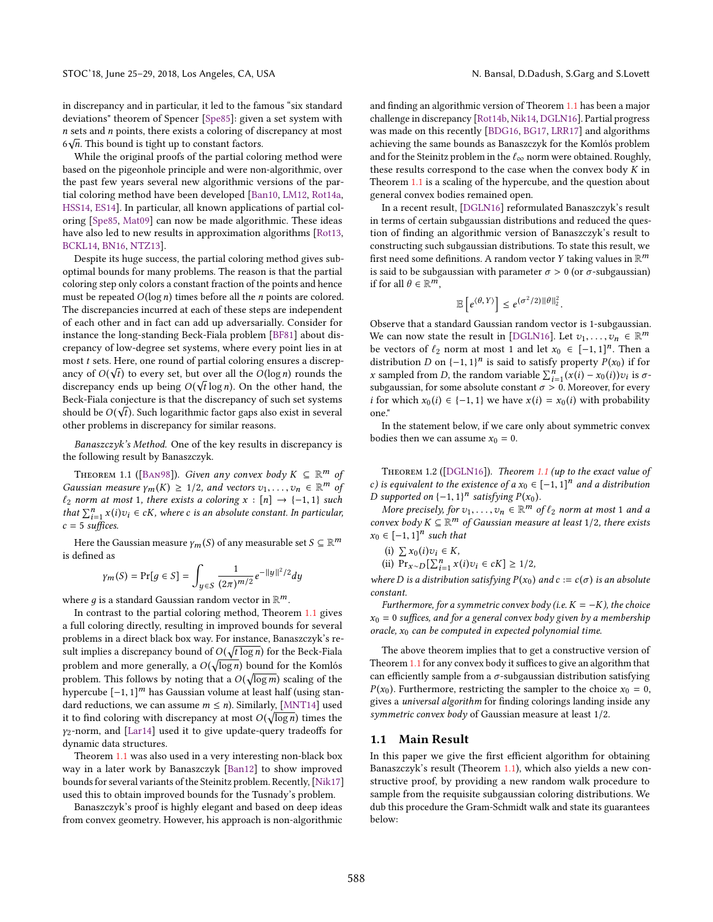While the original proofs of the partial coloring method were based on the pigeonhole principle and were non-algorithmic, over the past few years several new algorithmic versions of the partial coloring method have been developed [\[Ban10,](#page-10-11) [LM12,](#page-10-12) [Rot14a,](#page-10-13) [HSS14,](#page-10-14) [ES14\]](#page-10-15). In particular, all known applications of partial coloring [\[Spe85,](#page-10-9) [Mat09\]](#page-10-2) can now be made algorithmic. These ideas have also led to new results in approximation algorithms [\[Rot13,](#page-10-16) [BCKL14,](#page-10-17) [BN16,](#page-10-18) [NTZ13\]](#page-10-19).

Despite its huge success, the partial coloring method gives suboptimal bounds for many problems. The reason is that the partial coloring step only colors a constant fraction of the points and hence must be repeated  $O(\log n)$  times before all the *n* points are colored. The discrepancies incurred at each of these steps are independent of each other and in fact can add up adversarially. Consider for instance the long-standing Beck-Fiala problem [\[BF81\]](#page-10-6) about discrepancy of low-degree set systems, where every point lies in at most *t* sets. Here, one round of partial coloring ensures a discrep-<br>angy of  $O(\sqrt{t})$  to every set but over all the  $O(\log n)$  rounds the ancy of  $O(\sqrt{t})$  to every set, but over all the  $O(\log n)$  rounds the discrepancy ends up being  $O(\sqrt{t} \log n)$ . On the other hand, the discrepancy ends up being  $O(\sqrt{t} \log n)$ . On the other hand, the Beck-Field conjecture is that the discrepancy of such set systems Beck-Fiala conjecture is that the discrepancy of such set systems should be  $O(\sqrt{t})$ . Such logarithmic factor gaps also exist in several<br>other problems in discrepancy for similar reasons other problems in discrepancy for similar reasons.

Banaszczyk's Method. One of the key results in discrepancy is the following result by Banaszczyk.

<span id="page-1-0"></span>THEOREM 1.1 ([BAN98]). Given any convex body  $K \subseteq \mathbb{R}^m$  of<br>useign measure  $V_K(K) \ge 1/2$  and vectors  $v_k = v_k \in \mathbb{R}^m$  of Gaussian measure  $\gamma_m(K) \geq 1/2$ , and vectors  $v_1, \ldots, v_n \in \mathbb{R}^m$  of  $f_0$  norm at most 1, there exists a coloring  $x : [n] \rightarrow (-1, 1)$  such  $ℓ<sub>2</sub> norm at most 1, there exists a coloring x : [n] → {−1, 1} such$ that  $\sum_{i=1}^{n} x(i)v_i \in cK$ , where c is an absolute constant. In particular,  $c = 5$  suffices that  $\sum_{i=1}^{n} x(i)$ <br>c = 5 suffices.

Here the Gaussian measure  $\gamma_m(S)$  of any measurable set  $S \subseteq \mathbb{R}^m$ is defined as

$$
\gamma_m(S) = \Pr[g \in S] = \int_{y \in S} \frac{1}{(2\pi)^{m/2}} e^{-||y||^2/2} dy
$$

where g is a standard Gaussian random vector in  $\mathbb{R}^m$ .<br>In contrast to the partial coloring method. Theorem

In contrast to the partial coloring method, Theorem [1.1](#page-1-0) gives a full coloring directly, resulting in improved bounds for several problems in a direct black box way. For instance, Banaszczyk's result implies a discrepancy bound of  $O(\sqrt{t \log n})$  for the Beck-Fiala problem and more generally, a  $O(\sqrt{\log n})$  bound for the Komlós problem. This follows by noting that a  $O(\sqrt{\log m})$  scaling of the hypercube  $[-1, 1]^m$  has Gaussian volume at least half (using stangular) hypercube  $[-1, 1]^m$  has Gaussian volume at least half (using standard reductions, we can assume  $m \le n$ ). Similarly, [\[MNT14\]](#page-10-21) used it to find coloring with discrepancy at most  $O(\sqrt{\log n})$  times the meaning and  $\prod_{x=1}^{\infty}$  and  $\prod_{y=1}^{\infty}$  and  $\prod_{y=1}^{\infty}$  and  $\prod_{y=1}^{\infty}$  and  $\prod_{y=1}^{\infty}$  and  $\prod_{y=1}^{\infty}$  and  $\prod_{y=1}^{\infty}$  and  $\prod_{y=1}^{\in$ γ2-norm, and [\[Lar14\]](#page-10-22) used it to give update-query tradeoffs for dynamic data structures.

Theorem [1.1](#page-1-0) was also used in a very interesting non-black box way in a later work by Banaszczyk [\[Ban12\]](#page-10-23) to show improved bounds for several variants of the Steinitz problem. Recently, [\[Nik17\]](#page-10-24) used this to obtain improved bounds for the Tusnady's problem.

Banaszczyk's proof is highly elegant and based on deep ideas from convex geometry. However, his approach is non-algorithmic and finding an algorithmic version of Theorem [1.1](#page-1-0) has been a major challenge in discrepancy [\[Rot14b,](#page-10-25) [Nik14,](#page-10-4) [DGLN16\]](#page-10-26). Partial progress was made on this recently [\[BDG16,](#page-10-27) [BG17,](#page-10-28) [LRR17\]](#page-10-29) and algorithms achieving the same bounds as Banaszczyk for the Komlós problem and for the Steinitz problem in the  $\ell_{\infty}$  norm were obtained. Roughly, these results correspond to the case when the convex body  $K$  in Theorem [1.1](#page-1-0) is a scaling of the hypercube, and the question about general convex bodies remained open.

In a recent result, [\[DGLN16\]](#page-10-26) reformulated Banaszczyk's result in terms of certain subgaussian distributions and reduced the question of finding an algorithmic version of Banaszczyk's result to constructing such subgaussian distributions. To state this result, we first need some definitions. A random vector Y taking values in  $\mathbb{R}^m$ <br>is said to be subgaussian with parameter  $\tau > 0$  (or  $\sigma$ -subgaussian) is said to be subgaussian with parameter  $\sigma > 0$  (or  $\sigma$ -subgaussian) if for all  $\theta \in \mathbb{R}^m$ ,

$$
\mathbb{E}\left[e^{\langle \theta, Y \rangle}\right] \leq e^{(\sigma^2/2) \|\theta\|_2^2}
$$

Observe that a standard Gaussian random vector is 1-subgaussian. We can now state the result in [\[DGLN16\]](#page-10-26). Let  $v_1, \ldots, v_n \in \mathbb{R}^m$ <br>he vectors of  $f_0$  norm at most 1 and let  $x_0 \in [-1, 1]^n$ . Then a be vectors of  $\ell_2$  norm at most 1 and let  $x_0 \in [-1,1]^n$ . Then a distribution D on  $\ell = 1, 1]^n$  is said to satisfy property  $P(x_0)$  if for distribution D on  $\{-1, 1\}^n$  is said to satisfy property  $P(x_0)$  if for  $x$  sampled from D the random variable  $\sum_{i=1}^n (x(i) - x_0(i))x_i$  is  $\sigma$ . x sampled from D, the random variable  $\sum_{i=1}^{n} (x(i) - x_0(i))v_i$  is  $\sigma$ -<br>subgaussian, for some absolute constant  $\sigma > 0$ . Moreover, for every subgaussian, for some absolute constant  $\sigma > 0$ . Moreover, for every *i* for which  $x_0(i) \in \{-1, 1\}$  we have  $x(i) = x_0(i)$  with probability one."

In the statement below, if we care only about symmetric convex bodies then we can assume  $x_0 = 0$ .

<span id="page-1-1"></span>Theorem 1.2 ([\[DGLN16\]](#page-10-26)). Theorem [1.1](#page-1-0) (up to the exact value of c) is equivalent to the existence of a  $x_0 \in [-1,1]^n$  and a distribution D supported on  $\{-1, 1\}^n$  satisfying  $P(x_0)$ .<br>More precisely for  $y_1 \in \mathbb{R}^m$ .

More precisely, for  $v_1, \ldots, v_n \in \mathbb{R}^m$  of  $\ell_2$  norm at most 1 and a<br>nuck hody  $K \subset \mathbb{R}^m$  of Gaussian measure at least 1/2, there exists convex body  $K \subseteq \mathbb{R}^m$  of Gaussian measure at least 1/2, there exists  $x_0 \in [-1, 1]^n$  such that  $x_0 \in [-1, 1]^n$  such that

(i)  $\sum x_0(i)v_i \in K$ ,<br>ii) Pr<br> $E \cap \sum n$ , x

(ii) 
$$
\Pr_{x \sim D}[\sum_{i=1}^{n} x(i)v_i \in cK] \ge 1/2
$$
,

where D is a distribution satisfying  $P(x_0)$  and  $c := c(\sigma)$  is an absolute constant constant.

Furthermore, for a symmetric convex body (i.e.  $K = -K$ ), the choice  $x_0 = 0$  suffices, and for a general convex body given by a membership oracle,  $x_0$  can be computed in expected polynomial time.

The above theorem implies that to get a constructive version of Theorem [1.1](#page-1-0) for any convex body it suffices to give an algorithm that can efficiently sample from a  $\sigma$ -subgaussian distribution satisfying  $P(x_0)$ . Furthermore, restricting the sampler to the choice  $x_0 = 0$ , gives a universal algorithm for finding colorings landing inside any symmetric convex body of Gaussian measure at least <sup>1</sup>/2.

#### 1.1 Main Result

In this paper we give the first efficient algorithm for obtaining Banaszczyk's result (Theorem [1.1\)](#page-1-0), which also yields a new constructive proof, by providing a new random walk procedure to sample from the requisite subgaussian coloring distributions. We dub this procedure the Gram-Schmidt walk and state its guarantees below: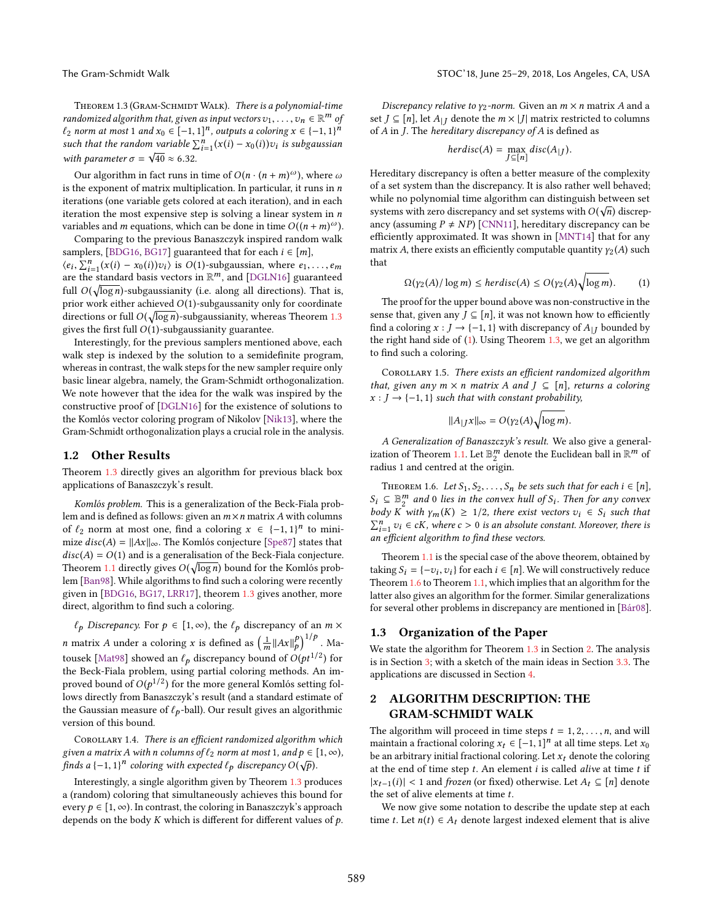<span id="page-2-0"></span>THEOREM 1.3 (GRAM-SCHMIDT WALK). There is a polynomial-time randomized algorithm that, given as input vectors  $v_1, \ldots, v_n \in \mathbb{R}^m$  of<br> $f_0$  norm at most 1 and  $x \in [-1, 1]^n$  outputs a coloring  $x \in [-1, 1]^n$  $\ell_2$  norm at most 1 and  $x_0 \in [-1, 1]^n$ , outputs a coloring  $x \in (-1, 1]^n$ <br>such that the random variable  $\nabla^n$ ,  $(x(i) - x_0(i))$ zu, is subgaussian such that the random variable  $\sum_{i=1}^{n} (x(i) - x_0(i))v_i$  is subgaussian<br>with parameter  $\sigma = \sqrt{40} \approx 6.32$ with parameter  $\sigma = \sqrt{40} \approx 6.32$ .

Our algorithm in fact runs in time of  $O(n \cdot (n + m)^{\omega})$ , where  $\omega$ is the exponent of matrix multiplication. In particular, it runs in  $n$ iterations (one variable gets colored at each iteration), and in each iteration the most expensive step is solving a linear system in  $n$ variables and m equations, which can be done in time  $O((n + m)^\omega)$ .<br>Comparing to the previous Banagzczyk inspired random walk

Comparing to the previous Banaszczyk inspired random walk samplers, [\[BDG16,](#page-10-27) [BG17\]](#page-10-28) guaranteed that for each  $i \in [m]$ ,  $\langle e_i, \sum_{i=1}^n (x(i) - x_0(i))v_i \rangle$  is  $O(1)$ -subgaussian, where  $e_1, \ldots, e_m$  $\langle e_i, \sum_{i=1}^n (x(i) - x_0(i))v_i \rangle$  is  $O(1)$ -subgaussian, where  $e_1, \dots, e_m$ <br>are the standard basis vectors in  $\mathbb{R}^m$ , and [\[DGLN16\]](#page-10-26) guaranteed full  $O(\sqrt{\log n})$ -subgaussianity (i.e. along all directions). That is, prior work either achieved  $O(1)$ -subgaussanity only for coordinate prior work either achieved  $O(1)$ -subgaussanity only for coordinate directions or full  $O(\sqrt{\log n})$ -subgaussianity, whereas Theorem [1.3](#page-2-0) gives the first full  $O(1)$ -subgaussianity guarantee.

Interestingly, for the previous samplers mentioned above, each walk step is indexed by the solution to a semidefinite program, whereas in contrast, the walk steps for the new sampler require only basic linear algebra, namely, the Gram-Schmidt orthogonalization. We note however that the idea for the walk was inspired by the constructive proof of [\[DGLN16\]](#page-10-26) for the existence of solutions to the Komlós vector coloring program of Nikolov [\[Nik13\]](#page-10-30), where the Gram-Schmidt orthogonalization plays a crucial role in the analysis.

### 1.2 Other Results

Theorem [1.3](#page-2-0) directly gives an algorithm for previous black box applications of Banaszczyk's result.

Komlós problem. This is a generalization of the Beck-Fiala problem and is defined as follows: given an  $m \times n$  matrix A with columns of  $\ell_2$  norm at most one, find a coloring  $x \in \{-1, 1\}^n$  to mini-<br>mize disc(4) –  $||4x||$  . The Komlés conjecture [Sne87] states that mize  $disc(A) = ||Ax||_{\infty}$ . The Komlós conjecture [\[Spe87\]](#page-10-31) states that  $disc(A) = O(1)$  and is a generalisation of the Beck-Fiala conjecture. Theorem [1.1](#page-1-0) directly gives  $O(\sqrt{\log n})$  bound for the Komlós prob-<br>lem [Ban98] While algorithms to find such a coloring were recently lem [\[Ban98\]](#page-10-20). While algorithms to find such a coloring were recently given in [\[BDG16,](#page-10-27) [BG17,](#page-10-28) [LRR17\]](#page-10-29), theorem [1.3](#page-2-0) gives another, more direct, algorithm to find such a coloring.

 $\ell_p$  Discrepancy. For  $p \in [1, \infty)$ , the  $\ell_p$  discrepancy of an  $m \times$ n matrix A under a coloring x is defined as  $\left(\frac{1}{m}||Ax||_p^p\right)^{1/p}$ . Matrice has to the discussion of  $O(x^{1/2})$  for tousek [Mat<sup>98</sup>] showed an  $\ell_p$  discrepancy bound of  $O(pt^{1/2})$  for<br>the Beck-Field problem, using partial coloring methods. An imthe Beck-Fiala problem, using partial coloring methods. An improved bound of  $O(p^{1/2})$  for the more general Komlós setting fol-<br>lows directly from Banaszczyk's result (and a standard estimate of lows directly from Banaszczyk's result (and a standard estimate of the Gaussian measure of  $\ell_p$ -ball). Our result gives an algorithmic version of this bound.

<span id="page-2-4"></span>COROLLARY 1.4. There is an efficient randomized algorithm which given a matrix A with n columns of  $\ell_2$  norm at most 1, and  $p \in [1, \infty)$ , finds a  $\{-1, 1\}^n$  coloring with expected  $\ell_p$  discrepancy  $O(\sqrt{p})$ .

Interestingly, a single algorithm given by Theorem [1.3](#page-2-0) produces a (random) coloring that simultaneously achieves this bound for every  $p \in [1, \infty)$ . In contrast, the coloring in Banaszczyk's approach depends on the body  $K$  which is different for different values of  $p$ .

Discrepancy relative to  $\gamma_2$ -norm. Given an  $m \times n$  matrix A and a set  $J \subseteq [n]$ , let  $A_{|I}$  denote the  $m \times |J|$  matrix restricted to columns of *A* in *J*. The *hereditary discrepancy of <i>A* is defined as<br>*herdisc*(*A*) = max *disc*(*A*<sub>1</sub>*t*).

$$
herdisc(A) = \max_{J \subseteq [n]} disc(A_{|J}).
$$

Hereditary discrepancy is often a better measure of the complexity of a set system than the discrepancy. It is also rather well behaved; while no polynomial time algorithm can distinguish between set systems with zero discrepancy and set systems with  $O(\sqrt{n})$  discrep-<br>ancy (assuming  $P \neq N P$ ) [CNN111] hareditary discrepancy can be ancy (assuming  $P \neq NP$ ) [\[CNN11\]](#page-10-33), hereditary discrepancy can be efficiently approximated. It was shown in [\[MNT14\]](#page-10-21) that for any matrix A, there exists an efficiently computable quantity  $\gamma_2(A)$  such that

<span id="page-2-1"></span>
$$
\Omega(\gamma_2(A)/\log m) \le \text{herdisc}(A) \le O(\gamma_2(A)\sqrt{\log m}).\tag{1}
$$

The proof for the upper bound above was non-constructive in the sense that, given any  $J \subseteq [n]$ , it was not known how to efficiently find a coloring  $x : J \to \{-1, 1\}$  with discrepancy of  $A_{|J}$  bounded by the right hand side of [\(1\)](#page-2-1). Using Theorem [1.3,](#page-2-0) we get an algorithm to find such a coloring.

<span id="page-2-5"></span>COROLLARY 1.5. There exists an efficient randomized algorithm that, given any  $m \times n$  matrix A and  $J \subseteq [n]$ , returns a coloring  $x : J \rightarrow \{-1, 1\}$  such that with constant probability,

$$
||A_{|J}x||_{\infty}=O(\gamma_2(A)\sqrt{\log m}).
$$

A Generalization of Banaszczyk's result. We also give a general-ization of Theorem [1.1.](#page-1-0) Let  $\mathbb{B}_{2}^{m}$  denote the Euclidean ball in  $\mathbb{R}^{m}$  of radius 1 and centred at the origin.

<span id="page-2-2"></span>THEOREM 1.6. Let  $S_1, S_2, \ldots, S_n$  be sets such that for each  $i \in [n]$ ,  $S_i \subseteq \mathbb{B}_n^m$  and 0 lies in the convex hull of  $S_i$ . Then for any convex<br>hody  $K$  with  $v \in K$   $\ge 1/2$ , there exist yesters  $v_i \in S$ , such that body K with  $\gamma_m(K) \geq 1/2$ , there exist vectors  $v_i \in S_i$  such that  $\sum_{i=1}^{n} v_i \in cK$ , where  $c > 0$  is an absolute constant. Moreover, there is an efficient algorithm to find these vectors  $\sum_{i=1}^{\infty} v_i \in \mathfrak{c}$ K, where  $\mathfrak{c} > 0$  is an absolute contained an efficient algorithm to find these vectors.

Theorem [1.1](#page-1-0) is the special case of the above theorem, obtained by taking  $S_i = \{-v_i, v_i\}$  for each  $i \in [n]$ . We will constructively reduce<br>Theorem 1.6 to Theorem 1.1 which implies that an algorithm for the Theorem [1.6](#page-2-2) to Theorem [1.1,](#page-1-0) which implies that an algorithm for the latter also gives an algorithm for the former. Similar generalizations for several other problems in discrepancy are mentioned in [\[Bár08\]](#page-10-5).

### 1.3 Organization of the Paper

We state the algorithm for Theorem [1.3](#page-2-0) in Section [2.](#page-2-3) The analysis is in Section [3;](#page-3-0) with a sketch of the main ideas in Section [3.3.](#page-4-0) The applications are discussed in Section [4.](#page-8-0)

# <span id="page-2-3"></span>2 ALGORITHM DESCRIPTION: THE GRAM-SCHMIDT WALK

The algorithm will proceed in time steps  $t = 1, 2, \ldots, n$ , and will maintain a fractional coloring  $x_t \in [-1, 1]^n$  at all time steps. Let  $x_0$  has an arbitrary initial fractional coloring. Let  $x_0$  denote the coloring be an arbitrary initial fractional coloring. Let  $x_t$  denote the coloring at the end of time step  $t$ . An element  $i$  is called *alive* at time  $t$  if  $|x_{t-1}(i)|$  < 1 and *frozen* (or fixed) otherwise. Let  $A_t$  ⊆ [n] denote the set of alive elements at time  $t$ .

We now give some notation to describe the update step at each time t. Let  $n(t) \in A_t$  denote largest indexed element that is alive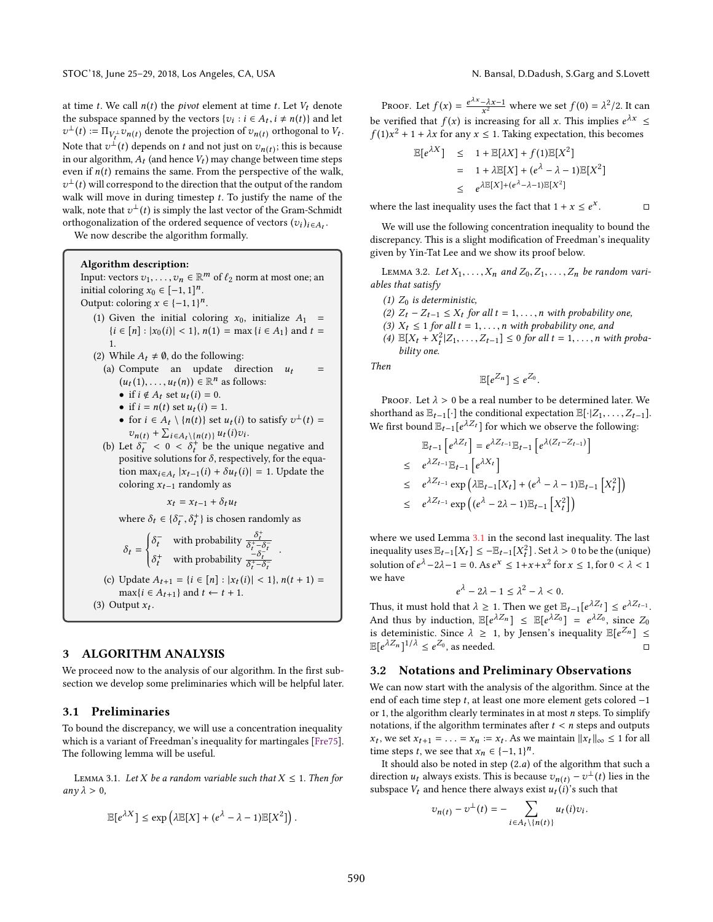at time t. We call  $n(t)$  the *pivot* element at time t. Let  $V_t$  denote the subspace spanned by the vectors  $\{v_i : i \in A_t, i \neq n(t)\}$  and let  $v^{\perp}(t) := \prod_{i \in \mathbb{N}} v_i$  and denote the projection of  $v_i$  are orthogonal to  $V_i$ . Note that  $v^{\perp}(t)$  depends on t and not just on  $v_{n}(t)$ ; this is because<br>in our algorithm  $A_{\perp}$  (and hence  $V_{\perp}$ ) may change between time steps  $\perp(t) := \Pi_{V_L^{\perp}} v_{n(t)}$  denote the projection of  $v_{n(t)}$  orthogonal to  $V_t$ . in our algorithm,  $A_t$  (and hence  $V_t$ ) may change between time steps<br>even if  $n(t)$  remains the same. From the perspective of the walk even if  $n(t)$  remains the same. From the perspective of the walk, walk will move in during timestep t. To justify the name of the walk note that  $v^{\perp}(t)$  is simply the last vector of the Gram-Schmidt  $\pm(t)$  will correspond to the direction that the output of the random<br>ralk will move in during timesten t. To justify the name of the walk, note that  $v^{\perp}(t)$  is simply the last vector of the Gram-Schmidt<br>orthogonalization of the ordered sequence of vectors  $(x_1)$ . orthogonalization of the ordered sequence of vectors  $(v_i)_{i \in A_t}$ .<br>We now describe the elgorithm formally

We now describe the algorithm formally.

Algorithm description: Input: vectors  $v_1, \ldots, v_n \in \mathbb{R}^m$  of  $\ell_2$  norm at most one; an initial coloring  $x_2 \in [-1, 1]^n$ initial coloring  $x_0 \in [-1, 1]^n$ .<br>Output: coloring  $x \in [-1, 1]^n$ .

Output: coloring  $x \in \{-1, 1\}^n$ .

- (1) Given the initial coloring  $x_0$ , initialize  $A_1$  =  ${i \in [n] : |x_0(i)| < 1}, n(1) = \max {i \in A_1}$  and  $t =$ 1.
- (2) While  $A_t \neq \emptyset$ , do the following:
	- (a) Compute an update direction  $u_t$  =  $(1), \ldots, u_t(n) \in \mathbb{R}^n$  as follows:<br>f i d A, set  $u_i(i) = 0$ 
		- if  $i \notin A_t$  set  $u_t(i) = 0$ .<br>• if  $i = n(t)$  set  $u_t(i) =$
		- if  $i = n(t)$  set  $u_t(i) = 1$ .<br>• for  $i \in A$ .  $\{n(t)\}$  set z
		- for  $i \in A_t \setminus \{n(t)\}\$  set  $u_t(i)$  to satisfy  $v^{\perp}(t) =$ <br> $u(t) + \sum_{i=1}^t u_i(t) \cdot u_i(t)$  $v_{n(t)} + \sum_{i \in A_t \setminus \{n(t)\}} u_t(i) v_i$ <br>  $v_t + \delta^- < 0 < \delta^+$  be the unit
- (b) Let  $\delta_t^+ < 0 < \delta_t^+$  be the unique negative and<br>nositive solutions for  $\delta$  respectively for the equapositive solutions for  $\delta$ , respectively, for the equa-<br>tion may  $\kappa_1(x) + \delta u_1(y) = 1$ . Undate the tion  $\max_{i \in A_t} |x_{t-1}(i) + \delta u_t(i)| = 1$ . Update the coloring  $x_{t-1}$  randomly as

 $x_t = x_{t-1} + \delta_t u_t$ 

where  $\delta_t \in \{\delta_t^-\}$  $\overline{\phantom{a}}$  $_{t}^{+}$ } is chosen randomly as

$$
\delta_t = \begin{cases}\n\delta_t^- & \text{with probability } \frac{\delta_t^+}{\delta_t^+ - \delta_t^-} \\
\delta_t^+ & \text{with probability } \frac{-\delta_t^-}{\delta_t^+ - \delta_t^-}\n\end{cases}
$$
\n(c) Update  $A_{t+1} = \{i \in [n] : |x_t(i)| < 1\}$ ,  $n(t+1) = \max\{i \in A_{t+1}\}$  and  $t \leftarrow t+1$ .

\n(3) Output  $x_t$ .

### <span id="page-3-0"></span>3 ALGORITHM ANALYSIS

We proceed now to the analysis of our algorithm. In the first subsection we develop some preliminaries which will be helpful later.

### 3.1 Preliminaries

To bound the discrepancy, we will use a concentration inequality which is a variant of Freedman's inequality for martingales [\[Fre75\]](#page-10-34). The following lemma will be useful.

<span id="page-3-1"></span>LEMMA 3.1. Let X be a random variable such that  $X \leq 1$ . Then for  $an\gamma\lambda > 0$ ,

$$
\mathbb{E}[e^{\lambda X}] \le \exp\left(\lambda \mathbb{E}[X] + (e^{\lambda} - \lambda - 1)\mathbb{E}[X^2]\right).
$$

 $\Box$ 

PROOF. Let  $f(x) = \frac{e^{\lambda x} - \lambda x - 1}{x^2}$  where we set  $f(0) = \lambda^2/2$ . It can be verified that  $f(x)$  is increasing for all x. This implies  $e^{\lambda x} \le$ <br> $f(1)x^2 + 1 + \lambda x$  for any  $x \le 1$ . Taking expectation, this becomes  $f(1)x^2 + 1 + \lambda x$  for any  $x \le 1$ . Taking expectation, this becomes

$$
\mathbb{E}[e^{\lambda X}] \leq 1 + \mathbb{E}[\lambda X] + f(1)\mathbb{E}[X^2]
$$
  
= 1 + \lambda \mathbb{E}[X] + (e^{\lambda} - \lambda - 1)\mathbb{E}[X^2]  

$$
\leq e^{\lambda \mathbb{E}[X] + (e^{\lambda} - \lambda - 1)\mathbb{E}[X^2]}
$$

where the last inequality uses the fact that  $1 + x \le e^x$ 

We will use the following concentration inequality to bound the discrepancy. This is a slight modification of Freedman's inequality given by Yin-Tat Lee and we show its proof below.

<span id="page-3-2"></span>LEMMA 3.2. Let  $X_1, \ldots, X_n$  and  $Z_0, Z_1, \ldots, Z_n$  be random variables that satisfy

- (1)  $Z_0$  is deterministic, (2)  $Z_t - Z_{t-1} \leq X_t$  for all  $t = 1, \ldots, n$  with probability one,
- (3)  $X_t \leq 1$  for all  $t = 1, \ldots, n$  with probability one, and
- (4)  $\mathbb{E}[X_t + X_t^2 | Z_1, \ldots, Z_{t-1}] \le 0$  for all  $t = 1, \ldots, n$  with proba-<br>bility one bility one.

Then

$$
\mathbb{E}[e^{Z_n}] \leq e^{Z_0}
$$

PROOF. Let  $\lambda > 0$  be a real number to be determined later. We shorthand as  $\mathbb{E}_{t-1}[\cdot]$  the conditional expectation  $\mathbb{E}[\cdot|Z_1,\ldots,Z_{t-1}].$ <br>We first bound  $\mathbb{E}_{t-1}[e^{\lambda Z_t}]$  for which we observe the following: We first bound  $\mathbb{E}_{t-1}[e^{\lambda Z_t}]$  for which we observe the following:

$$
\mathbb{E}_{t-1} \left[ e^{\lambda Z_t} \right] = e^{\lambda Z_{t-1}} \mathbb{E}_{t-1} \left[ e^{\lambda (Z_t - Z_{t-1})} \right]
$$
\n
$$
\leq e^{\lambda Z_{t-1}} \mathbb{E}_{t-1} \left[ e^{\lambda X_t} \right]
$$
\n
$$
\leq e^{\lambda Z_{t-1}} \exp \left( \lambda \mathbb{E}_{t-1} [X_t] + (e^{\lambda} - \lambda - 1) \mathbb{E}_{t-1} \left[ X_t^2 \right] \right)
$$
\n
$$
\leq e^{\lambda Z_{t-1}} \exp \left( (e^{\lambda} - 2\lambda - 1) \mathbb{E}_{t-1} \left[ X_t^2 \right] \right)
$$

where we used Lemma [3.1](#page-3-1) in the second last inequality. The last inequality uses  $\mathbb{E}_{t-1}[X_t] \leq -\mathbb{E}_{t-1}[X_t^2]$ . Set  $\lambda > 0$  to be the (unique) solution of  $e^{\lambda} - 2\lambda - 1 = 0$ . As  $e^x \le 1 + x + x^2$  for  $x \le 1$ , for  $0 < \lambda < 1$ we have

$$
e^{\lambda}-2\lambda-1\leq \lambda^2-\lambda<0.
$$

Thus, it must hold that  $\lambda \geq 1$ . Then we get  $\mathbb{E}_{t-1}[e^{\lambda Z_t}] \leq e^{\lambda Z_{t-1}}$ . And thus by induction,  $\mathbb{E}[e^{\lambda Z_n}] \leq \mathbb{E}[e^{\lambda Z_0}] = e^{\lambda Z_0}$ , since  $Z_0$ <br>is deterministic. Since  $\lambda > 1$  by Jansan's inequality  $\mathbb{E}[e^{Z_n}] <$ is deteministic. Since  $\lambda \geq 1$ , by Jensen's inequality  $\mathbb{E}[e^{Z_n}] \leq \mathbb{E}[\alpha \lambda Z_n] \frac{1}{\lambda} \leq \alpha Z_0$  as needed  $\mathbb{E}[e^{\lambda Z_n}]^{1/\lambda} \leq e^{Z_0}$ , as needed. □

### 3.2 Notations and Preliminary Observations

We can now start with the analysis of the algorithm. Since at the end of each time step t, at least one more element gets colored <sup>−</sup><sup>1</sup> or 1, the algorithm clearly terminates in at most  $n$  steps. To simplify notations, if the algorithm terminates after  $t < n$  steps and outputs time steps t, we see that  $x_n \in \{-1, 1\}^n$ .<br>It should also be noted in step (2, a) , we set  $x_{t+1} = \ldots = x_n := x_t$ . As we maintain  $||x_t||_{\infty} \le 1$  for all not the set bet  $x \in \{-1, 1\}$ 

It should also be noted in step  $(2.a)$  of the algorithm that such a direction  $u_t$  always exists. This is because  $v_{n(t)} - v^{\perp}(t)$  lies in the subspace  $V_t$  and hence there always exist  $u_t(i)$ 's such that subspace  $V_t$  and hence there always exist  $u_t(i)$ 's such that

$$
v_{n(t)} - v^{\perp}(t) = - \sum_{i \in A_t \setminus \{n(t)\}} u_t(i) v_i.
$$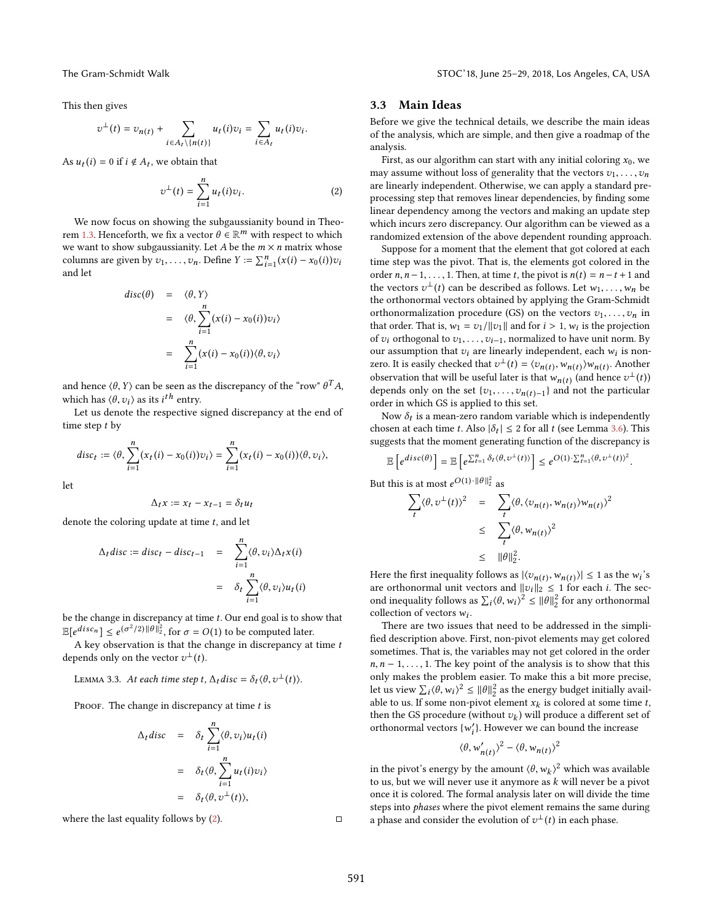This then gives

$$
v^{\perp}(t) = v_{n(t)} + \sum_{i \in A_t \setminus \{n(t)\}} u_t(i)v_i = \sum_{i \in A_t} u_t(i)v_i
$$

As  $u_t(i) = 0$  if  $i \notin A_t$ , we obtain that

<span id="page-4-1"></span>
$$
v^{\perp}(t) = \sum_{i=1}^{n} u_t(i)v_i.
$$
 (2)

We now focus on showing the subgaussianity bound in Theo-rem [1.3.](#page-2-0) Henceforth, we fix a vector  $\theta \in \mathbb{R}^m$  with respect to which we want to show subgaussianity. Let A be the  $m \times n$  matrix whose we want to show subgaussianity. Let A be the  $m \times n$  matrix whose columns are given by  $v_1, \ldots, v_n$ . Define  $Y := \sum_{i=1}^n (x(i) - x_0(i))v_i$ <br>and let and let

$$
disc(\theta) = \langle \theta, Y \rangle
$$
  
=  $\langle \theta, \sum_{i=1}^{n} (x(i) - x_0(i))v_i \rangle$   
=  $\sum_{i=1}^{n} (x(i) - x_0(i)) \langle \theta, v_i \rangle$ 

and hence  $(\theta, Y)$  can be seen as the discrepancy of the "row"  $\theta^T A$ , which has  $\langle \theta, v_i \rangle$  as its *i*<sup>th</sup> entry.<br>Let us denote the respective

Let us denote the respective signed discrepancy at the end of time step *t* by

$$
disc_t := \langle \theta, \sum_{i=1}^n (x_t(i) - x_0(i))v_i \rangle = \sum_{i=1}^n (x_t(i) - x_0(i)) \langle \theta, v_i \rangle,
$$

let

$$
\Delta_t x := x_t - x_{t-1} = \delta_t u_t
$$

denote the coloring update at time  $t$ , and let

$$
\Delta_t \text{disc} := \text{disc}_t - \text{disc}_{t-1} = \sum_{i=1}^n \langle \theta, v_i \rangle \Delta_t x(i)
$$

$$
= \delta_t \sum_{i=1}^n \langle \theta, v_i \rangle u_t(i)
$$

be the change in discrepancy at time  $t$ . Our end goal is to show that  $\mathbb{E}[e^{disc_n}] \leq e^{(\sigma)}$ <br>A key observed <sup>2</sup>/2)  $\|\theta\|_{2}^{2}$ , for  $\sigma = O(1)$  to be computed later.

A key observation is that the change in discrepancy at time  $t$ depends only on the vector  $v^{\perp}(t)$ .

# LEMMA 3.3. At each time step t,  $\Delta_t$  disc =  $\delta_t \langle \theta, v^{\perp}(t) \rangle$ .

PROOF. The change in discrepancy at time  $t$  is

$$
\Delta_t \text{disc} = \delta_t \sum_{i=1}^n \langle \theta, v_i \rangle u_t(i)
$$

$$
= \delta_t \langle \theta, \sum_{i=1}^n u_t(i) v_i \rangle
$$

$$
= \delta_t \langle \theta, v^{\perp}(t) \rangle,
$$

where the last equality follows by  $(2)$ .  $\Box$ 

### <span id="page-4-0"></span>3.3 Main Ideas

Before we give the technical details, we describe the main ideas of the analysis, which are simple, and then give a roadmap of the analysis.

First, as our algorithm can start with any initial coloring  $x_0$ , we may assume without loss of generality that the vectors  $v_1, \ldots, v_n$ are linearly independent. Otherwise, we can apply a standard preprocessing step that removes linear dependencies, by finding some linear dependency among the vectors and making an update step which incurs zero discrepancy. Our algorithm can be viewed as a randomized extension of the above dependent rounding approach.

Suppose for a moment that the element that got colored at each time step was the pivot. That is, the elements got colored in the order  $n, n-1, \ldots, 1$ . Then, at time  $t$ , the pivot is  $n(t) = n-t+1$  and the vectors  $v^{\perp}(t)$  can be described as follows. Let  $w_1, \ldots, w_n$  be the orthonormal vectors obtained by applying the Gram-Schmidt the orthonormal vectors obtained by applying the Gram-Schmidt orthonormalization procedure (GS) on the vectors  $v_1, \ldots, v_n$  in that order. That is,  $w_1 = v_1/||v_1||$  and for  $i > 1$ ,  $w_i$  is the projection<br>of  $v_i$  orthogonal to  $v_i$  and a property of the baye unit norm By of  $v_i$  orthogonal to  $v_1, \ldots, v_{i-1}$ , normalized to have unit norm. By our assumption that  $v_i$  are linearly independent, each  $w_i$  is non-<br>zero. It is easily checked that  $v^{\perp}(t) = \langle v, w, w \rangle$  with  $\wedge$  another zero. It is easily checked that  $v^{\perp}(t) = \langle v_{n(t)}, w_{n(t)} \rangle w_{n(t)}$ . Another  $\frac{\partial u}{\partial t}$  (b)  $\frac{\partial u}{\partial t}$  (c)  $\frac{\partial u}{\partial t}$  (e)  $\frac{\partial u}{\partial t}$  (e)  $\frac{\partial u}{\partial t}$  (e)  $\frac{\partial v}{\partial t}$  (and hence  $v^{\perp}(t)$ ) depends only on the set  $\{v_1, \ldots, v_{n(t)-1}\}$  and not the particular order in which CS is applied to this set order in which GS is applied to this set.

Now  $\delta_t$  is a mean-zero random variable which is independently<br>osen at each time  $t$ , Also  $|\delta_t| < 2$  for all  $t$  (see Lamma 3.6). This chosen at each time t. Also  $|\delta_t| \leq 2$  for all t (see Lemma [3.6\)](#page-5-0). This suggests that the moment generating function of the discrepancy is

$$
\mathbb{E}\left[e^{disc(\theta)}\right] = \mathbb{E}\left[e^{\sum_{t=1}^{n} \delta_t \langle \theta, v^{\perp}(t) \rangle}\right] \leq e^{O(1)\cdot \sum_{t=1}^{n} \langle \theta, v^{\perp}(t) \rangle^2}.
$$

But this is at most  $e^{O(1) \cdot ||\theta||_2^2}$  as

$$
\sum_{t} \langle \theta, v^{\perp}(t) \rangle^{2} = \sum_{t} \langle \theta, \langle v_{n(t)}, w_{n(t)} \rangle w_{n(t)} \rangle^{2}
$$
  

$$
\leq \sum_{t} \langle \theta, w_{n(t)} \rangle^{2}
$$
  

$$
\leq ||\theta||_{2}^{2}.
$$

Here the first inequality follows as  $|\langle v_{n(t)}, w_{n(t)} \rangle| \le 1$  as the  $w_i$ 's<br>are orthonormal unit vectors and  $||v_i||_0 < 1$  for each *i*. The secare orthonormal unit vectors and  $||v_i||_2 \le 1$  for each i. The sec-<br>and inequality follows as  $\sum (A_{i1}, 2 \le 1/2)$  for any orthonormal ond inequality follows as  $\sum_i (\theta, w_i)^2 \le ||\theta||_2^2$  for any orthonormal<br>collection of vectors w. collection of vectors  $w_i$ .<br>There are two issues

There are two issues that need to be addressed in the simplified description above. First, non-pivot elements may get colored sometimes. That is, the variables may not get colored in the order  $n, n-1, \ldots, 1$ . The key point of the analysis is to show that this only makes the problem easier. To make this a bit more precise, let us view  $\sum_i \langle \theta, w_i \rangle^2 \le ||\theta||_2^2$  as the energy budget initially available to us If some pop pivot element x, is colored at some time t able to us. If some non-pivot element  $x_k$  is colored at some time  $t$ , then the CS procedure (without  $y_k$ ) will produce a different set of then the GS procedure (without  $v_k$ ) will produce a different set of orthonormal vectors  $\{w'\}$ . However we can bound the increase orthonormal vectors  $\{w'_i\}$ . However we can bound the increase

$$
\langle \theta, w'_{n(t)} \rangle^2 - \langle \theta, w_{n(t)} \rangle^2
$$

in the pivot's energy by the amount  $(\theta, w_k)^2$  which was available<br>to us but we will never use it anymore as k will never be a nivot to us, but we will never use it anymore as  $k$  will never be a pivot once it is colored. The formal analysis later on will divide the time steps into *phases* where the pivot element remains the same during a phase and consider the evolution of  $v^{\perp}(t)$  in each phase.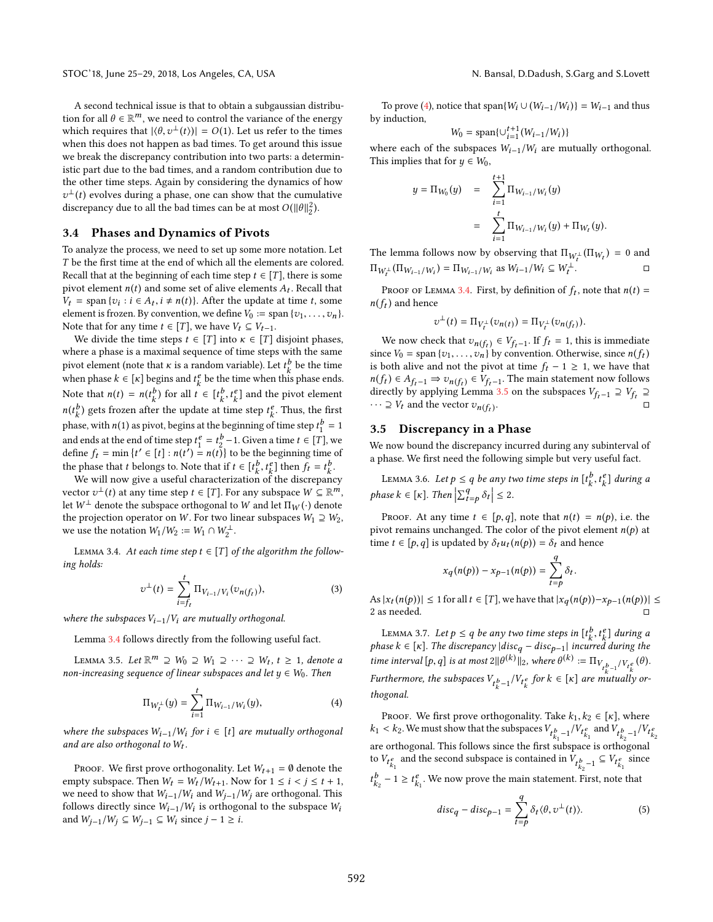A second technical issue is that to obtain a subgaussian distribution for all  $\theta \in \mathbb{R}^m$ , we need to control the variance of the energy<br>which requires that  $|A_{\alpha_1+}(t)| = O(1)$ . Let us refer to the times which requires that  $|\langle \theta, v^{\perp}(t) \rangle| = O(1)$ . Let us refer to the times when this does not happen as bad times To get around this issue when this does not happen as bad times. To get around this issue we break the discrepancy contribution into two parts: a deterministic part due to the bad times, and a random contribution due to the other time steps. Again by considering the dynamics of how discrepancy due to all the bad times can be at most  $O(||\theta||_2^2)$ .  $\perp$ (t) evolves during a phase, one can show that the cumulative<br>iscrepancy due to all the bad times can be at most  $O(||\theta||^2)$ 

### 3.4 Phases and Dynamics of Pivots

To analyze the process, we need to set up some more notation. Let T be the first time at the end of which all the elements are colored. Recall that at the beginning of each time step  $t \in [T]$ , there is some pivot element  $n(t)$  and some set of alive elements  $A_t$ . Recall that  $V_t = \text{span} \{z_1 : j \in A_t, i + n(t)\}$  After the undate at time t some  $V_t$  = span { $v_i : i \in A_t$ ,  $i \neq n(t)$ }. After the update at time t, some element is frozen. By convention, we define  $V_t$  : = span  $\{z_1, \ldots, z_n\}$ element is frozen. By convention, we define  $V_0 := \text{span}\{v_1, \ldots, v_n\}.$ Note that for any time  $t \in [T]$ , we have  $V_t \subseteq V_{t-1}$ .

We divide the time steps  $t \in [T]$  into  $\kappa \in [T]$  disjoint phases, where a phase is a maximal sequence of time steps with the same pivot element (note that  $\kappa$  is a random variable). Let  $t_k^b$  be the time<br>when phase  $k \in [k]$  begins and  $t_k^e$  be the time when this phase ands when phase  $k \in [\kappa]$  begins and  $t_k^e$  be the time when this phase ends. Note that  $n(t) = n(t_k^b)$  for all  $t \in [t_k^b, t_k^e]$  and the pivot element  $\frac{b}{k}$ ) gets frozen after the update at time step  $t_k^e$ . Thus, the first phase, with  $n(1)$  as pivot, begins at the beginning of time step  $t_1^b = 1$ and ends at the end of time step  $t_1^e = t_2^b - 1$ . Given a time  $t \in [T]$ , we define  $f_1 = \min_i \{ t' \in [t] : n(t') = n(t) \}$  to be the beginning time of define  $f_t = \min \{t' \in [t] : n(t') = n(t)\}$  to be the beginning time of<br>the phase that t belongs to Note that if  $t \in [t^b, t^e]$  then  $f = t^b$ the phase that t belongs to. Note that if  $t \in [t_{k}^{b}, t_{k}^{e}]$  then  $f_{t} = t_{k}^{b}$ .<br>We will now give a useful characterization of the discrepance

We will now give a useful characterization of the discrepancy vector  $v^{\perp}(t)$  at any time step  $t \in [T]$ . For any subspace  $W \subseteq \mathbb{R}^m$ ,<br>let  $W^{\perp}$  denote the subspace orthogonal to  $W$  and let  $\Pi_{\mathcal{U}}(\cdot)$  denote let  $W^{\perp}$  denote the subspace orthogonal to W and let  $\Pi_W(\cdot)$  denote the projection operator on W. For two linear subspaces  $W_1 \supseteq W_2$ , we use the notation  $W_1/W_2 := W_1 \cap W_2^{\perp}$ .

<span id="page-5-1"></span>LEMMA 3.4. At each time step  $t \in [T]$  of the algorithm the following holds:

$$
v^{\perp}(t) = \sum_{i=f_t}^{t} \Pi_{V_{i-1}/V_i}(v_{n(f_t)}),
$$
\n(3)

where the subspaces  $V_{i-1}/V_i$  are mutually orthogonal.

Lemma [3.4](#page-5-1) follows directly from the following useful fact.

<span id="page-5-3"></span>LEMMA 3.5. Let  $\mathbb{R}^m \supseteq W_0 \supseteq W_1 \supseteq \cdots \supseteq W_t$ ,  $t \geq 1$ , denote a n-increasing sequence of linear subspaces and let  $u \in W_1$ . Then non-increasing sequence of linear subspaces and let  $y \in W_0$ . Then

<span id="page-5-2"></span>
$$
\Pi_{W_t^{\perp}}(y) = \sum_{i=1}^t \Pi_{W_{i-1}/W_i}(y),
$$
 (4)

where the subspaces  $W_{i-1}/W_i$  for  $i \in [t]$  are mutually orthogonal and are also orthogonal to  $W_t$ .

PROOF. We first prove orthogonality. Let  $W_{t+1} = \emptyset$  denote the empty subspace. Then  $W_t = W_t / W_{t+1}$ . Now for  $1 \le i < j \le t+1$ , we need to show that  $W_{i-1}/W_i$  and  $W_{j-1}/W_j$  are orthogonal. This follows directly since  $W_{i-1}/W_i$  is orthogonal to the subspace  $W_i$ <br>and  $W_{i-1}/W_i \subseteq W_{i-1} \subseteq W_i$  since  $i-1 \ge i$ and  $W_{j-1}/W_j$  ⊆  $W_{j-1}$  ⊆  $W_i$  since  $j - 1 \ge i$ .

To prove [\(4\)](#page-5-2), notice that span $\{W_i \cup (W_{i-1}/W_i)\} = W_{i-1}$  and thus induction by induction,

$$
W_0 = \text{span}\{ \cup_{i=1}^{t+1} (W_{i-1}/W_i) \}
$$

where each of the subspaces  $W_{i-1}/W_i$  are mutually orthogonal.<br>This implies that for  $u \in W_0$ This implies that for  $y \in W_0$ ,

$$
y = \Pi_{W_0}(y) = \sum_{i=1}^{t+1} \Pi_{W_{i-1}/W_i}(y)
$$
  
= 
$$
\sum_{i=1}^t \Pi_{W_{i-1}/W_i}(y) + \Pi_{W_t}(y).
$$

The lemma follows now by observing that  $\Pi_{W_t^{\perp}}(\Pi_{W_t}) = 0$  and  $\Pi_{W_t}(\Pi_{W_t}) = \Pi_{W_t}(\Pi_{W_t})$  $\Pi_{W_t^{\perp}}(\Pi_{W_{i-1}/W_i}) = \Pi_{W_{i-1}/W_i}$  as  $W_{i-1}/W_i \subseteq W_t^{\perp}$ . . □

PROOF OF LEMMA [3.4.](#page-5-1) First, by definition of  $f_t$ , note that  $n(t) = f_t$  and hence  $\ddot{\phantom{a}}$  $n(f_t)$  and hence

$$
v^\perp(t) = \Pi_{V_t^\perp}(v_{n(t)}) = \Pi_{V_t^\perp}(v_{n(f_t)}).
$$

We now check that  $v_{n(f_t)} \in V_{f_t-1}$ . If  $f_t = 1$ , this is immediate<br>ce  $V_0 = \text{span}\{v_t, v_t\}$  by convention Otherwise since  $p(f_t)$ since  $V_0$  = span { $v_1, \ldots, v_n$ } by convention. Otherwise, since  $n(f_t)$ is both alive and not the pivot at time  $f_t - 1 \ge 1$ , we have that  $f(t) \in A_{\epsilon_0} \to \infty$ . The main statement now follows  $\frac{d}{dt}$  directly by applying Lemma [3.5](#page-5-3) on the subspaces  $V_{f_t-1} \supseteq V_{f_t} \supseteq$ <br> $\cdots \supseteq V_t$  and the vector  $\zeta$  (c)  $\phi \in A_{f_t-1} \Rightarrow v_{n}(f_t) \in V_{f_t-1}$ . The main statement now follows  $\cdots \supseteq V_t$  and the vector  $v_{n(f_t)}$ . . □

# 3.5 Discrepancy in a Phase

We now bound the discrepancy incurred during any subinterval of a phase. We first need the following simple but very useful fact.

<span id="page-5-0"></span>LEMMA 3.6. Let  $p \le q$  be any two time steps in  $[t_k^b, t_k^e]$  during a phase  $k \in [\kappa]$ . Then  $\left| \sum_{t=p}^{q} \delta_t \right|$  $\vert \leq 2.$ 

PROOF. At any time  $t \in [p,q]$ , note that  $n(t) = n(p)$ , i.e. the pivot remains unchanged. The color of the pivot element  $n(p)$  at time  $t \in [p, q]$  is updated by  $\delta_t u_t(n(p)) = \delta_t$  and hence

$$
x_q(n(p)) - x_{p-1}(n(p)) = \sum_{t=p}^{q} \delta_t.
$$

As  $|x_t(n(p))| \le 1$  for all  $t \in [T]$ , we have that  $|x_q(n(p)) - x_{p-1}(n(p))| \le$  2 as needed 2 as needed.

<span id="page-5-5"></span>LEMMA 3.7. Let  $p \le q$  be any two time steps in  $[t^b_k, t^e_k]$  during a<br>greate  $\subseteq$  [x]. The discrepancy disc disc and incurred during the phase  $k \in [k]$ . The discrepancy  $|disc_q - disc_{p-1}|$  incurred during the time is temple of the discrepancy  $|dis_q - disc_{p-1}|$  incurred during the time interval  $[p, q]$  is at most  $2\|\theta^{(k)}\|_2$ , where  $\theta^{(k)} := \Pi_{V_t b_{k-1}/V_t c_k}(\theta)$ . Furthermore, the subspaces  $V_{t_k^b-1}/V_{t_k^e}$  for  $k \in [\kappa]$  are mutually or-<br>thesenal thogonal.

PROOF. We first prove orthogonality. Take  $k_1, k_2 \in [\kappa]$ , where  $k_1 < k_2$ . We must show that the subspaces  $V_{t_{k_1}^b - 1}/V_{t_{k_1}^e}$  and  $V_{t_{k_2}^b - 1}/V_{t_{k_2}^e}$ are orthogonal. This follows since the first subspace is orthogonal to  $V_{t_{k_1}^e}$  and the second subspace is contained in  $V_{t_{k_2}^b-1} \subseteq V_{t_{k_1}^e}$ since  $t_{k_2}^b - 1 \geq t_{k_1}^e$ . We now prove the main statement. First, note that

<span id="page-5-4"></span>
$$
disc_q - disc_{p-1} = \sum_{t=p}^{q} \delta_t \langle \theta, v^{\perp}(t) \rangle.
$$
 (5)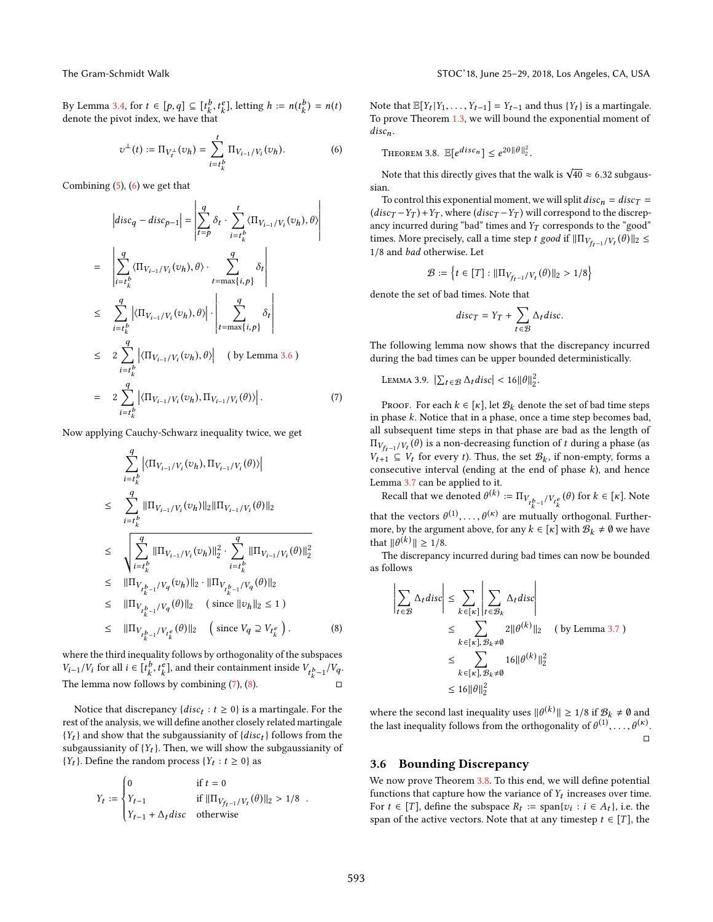By Lemma [3.4,](#page-5-1) for  $t \in [p, q] \subseteq [t_k^b, t_k^e]$ , letting  $h := n(t_k^b) = n(t)$  $\sum_{k=1}^{\infty}$  denote the pivot index, we have that

<span id="page-6-0"></span>
$$
\upsilon^{\perp}(t) := \Pi_{V_t^{\perp}}(\upsilon_h) = \sum_{i=t_k^b}^t \Pi_{V_{i-1}/V_i}(\upsilon_h). \tag{6}
$$

Combining [\(5\)](#page-5-4), [\(6\)](#page-6-0) we get that

<span id="page-6-1"></span>
$$
\begin{aligned}\n\left| \operatorname{disc}_{q} - \operatorname{disc}_{p-1} \right| &= \left| \sum_{i=p}^{q} \delta_{t} \cdot \sum_{i=t_{k}^{b}}^{t} \langle \Pi_{V_{i-1}/V_{i}}(v_{h}), \theta \rangle \right| \\
&= \left| \sum_{i=t_{k}^{b}}^{q} \langle \Pi_{V_{i-1}/V_{i}}(v_{h}), \theta \rangle \cdot \sum_{t=\max\{i,p\}}^{q} \delta_{t} \right| \\
&\leq \sum_{i=t_{k}^{b}}^{q} \left| \langle \Pi_{V_{i-1}/V_{i}}(v_{h}), \theta \rangle \right| \cdot \left| \sum_{t=\max\{i,p\}}^{q} \delta_{t} \right| \\
&\leq 2 \sum_{i=t_{k}^{b}}^{q} \left| \langle \Pi_{V_{i-1}/V_{i}}(v_{h}), \theta \rangle \right| \quad \text{(by Lemma 3.6)} \\
&= 2 \sum_{i=t_{k}^{b}}^{q} \left| \langle \Pi_{V_{i-1}/V_{i}}(v_{h}), \Pi_{V_{i-1}/V_{i}}(\theta) \rangle \right|.\n\end{aligned}
$$

Now applying Cauchy-Schwarz inequality twice, we get

<span id="page-6-2"></span>
$$
\begin{array}{lcl} & \displaystyle \sum_{i=t_{k}^{b}}^{q} \left|\langle \Pi_{V_{i-1}/V_{i}}(v_{h}), \Pi_{V_{i-1}/V_{i}}(\theta)\rangle\right| \\[1mm] & \leq & \displaystyle \sum_{i=t_{k}^{b}}^{q} ||\Pi_{V_{i-1}/V_{i}}(v_{h})||_{2}||\Pi_{V_{i-1}/V_{i}}(\theta)||_{2} \\[1mm] & \leq & \displaystyle \sqrt{\sum_{i=t_{k}^{b}}^{q}} ||\Pi_{V_{i-1}/V_{i}}(v_{h})||_{2}^{2} \cdot \sum_{i=t_{k}^{b}}^{q} ||\Pi_{V_{i-1}/V_{i}}(\theta)||_{2}^{2} \\[1mm] & \leq & \displaystyle ||\Pi_{V_{t_{k}^{b-1}}/V_{q}}(v_{h})||_{2} \cdot ||\Pi_{V_{t_{k}^{b-1}}/V_{q}}(\theta)||_{2} \\[1mm] & \leq & \displaystyle ||\Pi_{V_{t_{k}^{b-1}}/V_{q}}(\theta)||_{2} \quad \ \ (\text{ since } ||v_{h}||_{2} \leq 1 \, ) \\[1mm] & \leq & \displaystyle ||\Pi_{V_{t_{k}^{b-1}}/V_{t_{k}^{e}}}(\theta)||_{2} \quad \ \ \big(\text{ since } V_{q} \supseteq V_{t_{k}^{e}}\big)\,. \end{array}
$$

where the third inequality follows by orthogonality of the subspaces  $V_{i-1}/V_i$  for all  $i \in [t^b_k, t^e_k]$ , and their containment inside  $V_{t^b_k-1}/V_q$ .<br>The larges near follows by combining (7) (0) The lemma now follows by combining [\(7\)](#page-6-1), [\(8\)](#page-6-2).  $\Box$ 

Notice that discrepancy  $\{disc_t : t \geq 0\}$  is a martingale. For the tof the analysis we will define another closely related martingale rest of the analysis, we will define another closely related martingale  ${Y_t}$  and show that the subgaussianity of  ${disc_t}$  follows from the subgaussianity of  ${Y_t}$ . Then, we will show the subgaussianity of  ${Y_t}$ . Define the random process  ${Y_t : t \ge 0}$  as

$$
Y_t := \begin{cases} 0 & \text{if } t = 0\\ Y_{t-1} & \text{if } ||\Pi_{V_{f_t-1}/V_t}(\theta)||_2 > 1/8\\ Y_{t-1} + \Delta_t disc & \text{otherwise} \end{cases}
$$

Note that  $\mathbb{E}[Y_t|Y_1,\ldots,Y_{t-1}] = Y_{t-1}$  and thus  $\{Y_t\}$  is a martingale.<br>To prove Theorem 1.3, we will bound the exponential moment of To prove Theorem [1.3,](#page-2-0) we will bound the exponential moment of  $disc_n$ .

<span id="page-6-3"></span>THEOREM 3.8.  $\mathbb{E}[e^{disc_n}] \leq e^{20 \|\theta\|_2^2}$ .

Note that this directly gives that the walk is  $\sqrt{40} \approx 6.32$  subgaussian.

To control this exponential moment, we will split  $disc<sub>n</sub> = disc<sub>T</sub>$  $(disc_T - Y_T) + Y_T$ , where  $(disc_T - Y_T)$  will correspond to the discrepancy incurred during "bad" times and  $Y_T$  corresponds to the "good" times. More precisely, call a time step t good if  $\|\Pi_{V_{fr}-1}/V_t(\theta)\|_2 \leq 1/8$  and had otherwise. Let <sup>1</sup>/<sup>8</sup> and bad otherwise. Let  $\mathbf{r}$ 

$$
\mathcal{B} := \left\{ t \in [T] : ||\Pi_{V_{ft-1}/V_t}(\theta)||_2 > 1/8 \right\}
$$

denote the set of bad times. Note that

$$
disc_T = Y_T + \sum_{t \in \mathcal{B}} \Delta_t disc.
$$

The following lemma now shows that the discrepancy incurred during the bad times can be upper bounded deterministically.

<span id="page-6-4"></span>LEMMA 3.9.  $\left|\sum_{t \in \mathcal{B}} \Delta_t disc\right| < 16 ||\theta||_2^2$ .

PROOF. For each  $k \in [\kappa]$ , let  $\mathcal{B}_k$  denote the set of bad time steps in phase  $k$ . Notice that in a phase, once a time step becomes bad, all subsequent time steps in that phase are bad as the length of  $W_{f_{t-1}}/V_t(v)$  is a non-decreasing function of t during a phase (as<br>  $V_{t+1} \subseteq V_t$  for every t). Thus, the set  $\mathcal{B}_k$ , if non-empty, forms a<br>
consecutive interval (ending at the end of phase k) and hence  $\Pi_{V_{fr-1}/V_t}(\theta)$  is a non-decreasing function of t during a phase (as consecutive interval (ending at the end of phase  $k$ ), and hence Lemma [3.7](#page-5-5) can be applied to it.

Recall that we denoted  $\theta^{(k)} := \Pi_{V_{t^k_k - 1}/V_{t^e_k}}(\theta)$  for  $k \in [\kappa]$ . Note

that the vectors  $\theta^{(1)}, \ldots, \theta^{(\kappa)}$  are mutually orthogonal. Furthermore by the argument above for any  $k \in [k]$  with  $\Re_k \neq \emptyset$  we have more, by the argument above, for any  $k \in [\kappa]$  with  $\mathcal{B}_k \neq \emptyset$  we have that  $||g(k)|| \ge 1$  /8 that  $\|\theta^{(k)}\| \geq 1/8$ .<br>The discrepance

The discrepancy incurred during bad times can now be bounded as follows

$$
\left| \sum_{t \in \mathcal{B}} \Delta_t \text{disc} \right| \leq \sum_{k \in [\kappa]} \left| \sum_{t \in \mathcal{B}_k} \Delta_t \text{disc} \right|
$$
  
\n
$$
\leq \sum_{k \in [\kappa], \mathcal{B}_k \neq \emptyset} 2 ||\theta^{(k)}||_2 \quad \text{(by Lemma 3.7)}
$$
  
\n
$$
\leq \sum_{k \in [\kappa], \mathcal{B}_k \neq \emptyset} 16 ||\theta^{(k)}||_2^2
$$
  
\n
$$
\leq 16 ||\theta||_2^2
$$

where the second last inequality uses  $||\theta^{(k)}|| \ge 1/8$  if  $\mathcal{B}_k \ne \emptyset$  and the lest inequality follows from the exthese polity of  $\theta^{(1)}$ the last inequality follows from the orthogonality of  $\theta^{(1)}, \ldots, \theta^{(\kappa)}$ . □

### 3.6 Bounding Discrepancy

We now prove Theorem [3.8.](#page-6-3) To this end, we will define potential functions that capture how the variance of  $Y_t$  increases over time.<br>For  $t \in [T]$  define the subspace  $P_t := \text{span}\{y_t : i \in A_t\}$  i.e. the For  $t \in [T]$ , define the subspace  $R_t := \text{span}\{v_i : i \in A_t\}$ , i.e. the span of the active vectors. Note that at any timesten  $t \in [T]$  the span of the active vectors. Note that at any timestep  $t \in [T]$ , the

. (8)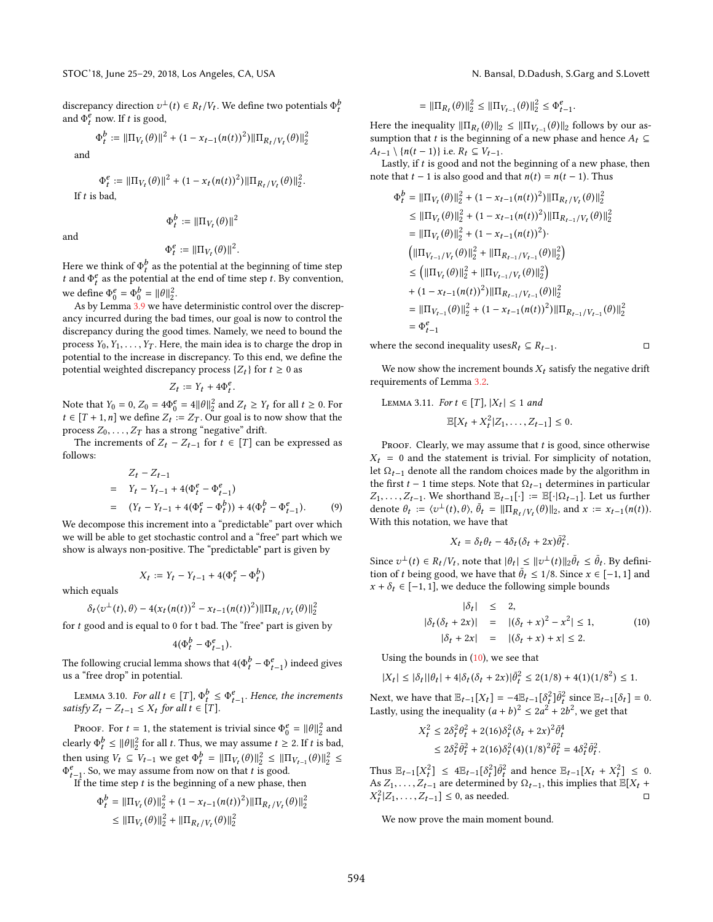discrepancy direction  $v^{\perp}(t) \in R_t/V_t$ . We define two potentials  $\Phi_t^b$ <br>and  $\Phi_t^e$  now If t is good and  $\Phi_t^e$  now. If t is good,

$$
\Phi^b_t:=\|\Pi_{V_t}(\theta)\|^2+(1-x_{t-1}(n(t))^2)\|\Pi_{R_t/V_t}(\theta)\|_2^2
$$

and

If  $t$ 

$$
\Phi_t^e := \|\Pi_{V_t}(\theta)\|^2 + (1 - x_t(n(t))^2) \|\Pi_{R_t/V_t}(\theta)\|_2^2.
$$
 is bad,

and

$$
t^b_t := \|\Pi_{V_t}(\theta)\|^2
$$

$$
\Phi_t^e := \|\Pi_{V_t}(\theta)\|^2.
$$

 $\Phi_t^e := ||\Pi_{V_t}(\theta)||^2.$ <br>Here we think of  $\Phi_t^b$  as the potential at the beginning of time step<br>t and  $\Phi_t^e$  as the potential at the end of time step t. By convention t and  $\Phi_t^e$  as the potential at the end of time step t. By convention, we define  $\Phi_0^e = \Phi_0^b = ||\theta||_2^2$ .

As by Lemma [3.9](#page-6-4) we have deterministic control over the discrepancy incurred during the bad times, our goal is now to control the discrepancy during the good times. Namely, we need to bound the process  $Y_0, Y_1, \ldots, Y_T$ . Here, the main idea is to charge the drop in potential to the increase in discrepancy. To this end, we define the potential weighted discrepancy process  $\{Z_t\}$  for  $t \geq 0$  as

$$
Z_t := Y_t + 4\Phi_t^e.
$$

Note that  $Y_0 = 0$ ,  $Z_0 = 4\Phi_0^e = 4||\theta||_2^2$  and  $Z_t \ge Y_t$  for all  $t \ge 0$ . For  $t \in [T + 1, n]$  we define  $Z_1 := Z_T$ . Our goal is to now show that the  $t \in [T + 1, n]$  we define  $Z_t := Z_T$ . Our goal is to now show that the process  $Z_2 = Z_T$  has a strong "negative" drift process  $Z_0, \ldots, Z_T$  has a strong "negative" drift.

The increments of  $Z_t - Z_{t-1}$  for  $t \in [T]$  can be expressed as follows:

$$
Z_t - Z_{t-1}
$$
  
=  $Y_t - Y_{t-1} + 4(\Phi_t^e - \Phi_{t-1}^e)$   
=  $(Y_t - Y_{t-1} + 4(\Phi_t^e - \Phi_t^h)) + 4(\Phi_t^h - \Phi_{t-1}^e).$  (9)  
We decompose this increment into a "predictable" part over which

we will be able to get stochastic control and a "free" part which we show is always non-positive. The "predictable" part is given by

$$
X_t := Y_t - Y_{t-1} + 4(\Phi_t^e - \Phi_t^b)
$$

which equals

$$
\delta_t \langle \upsilon^\perp(t), \theta \rangle - 4 \big( x_t(n(t)) ^2 - x_{t-1}(n(t))^2 \big) \| \Pi_{R_t / V_t}(\theta) \|_2^2
$$

for  $t$  good and is equal to  $0$  for  $t$  bad. The "free" part is given by

$$
4(\Phi_t^b - \Phi_{t-1}^e).
$$

 $4(\Phi_t^b - \Phi_{t-1}^e).$ <br>The following crucial lemma shows that  $4(\Phi_t^b - \Phi_{t-1}^e)$  indeed gives us a "free dron" in potential us a "free drop" in potential.

<span id="page-7-1"></span>LEMMA 3.10. For all  $t \in [T]$ ,  $\Phi_t^b \leq \Phi_{t-1}^e$ . Hence, the increments  $i s f v Z_t - Z_{t-1} \leq X_t$  for all  $t \in [T]$ . satisfy  $Z_t - Z_{t-1} \leq X_t$  for all  $t \in [T]$ .

PROOF. For  $t = 1$ , the statement is trivial since  $\Phi_0^e = ||\theta||_2^2$  and clearly  $\Phi_t^b \le ||\theta||_2^2$  for all t. Thus, we may assume  $t \ge 2$ . If t is bad, then using  $V_t \subseteq V_{t-1}$  we get  $\Phi_t^b = ||\Pi_{V_t}(\theta)||_2^2 \le ||\Pi_{V_{t-1}}(\theta)||_2^2 \le$ <br> $\Phi_t^e$ . So we may assume from now on that t is good .<br>1  $\Phi_{t-1}^e$ . So, we may assume from now on that t is good.<br>If the time step t is the beginning of a new phase.

If the time step 
$$
t
$$
 is the beginning of a new phase, then

$$
\Phi_t^b = \|\Pi_{V_t}(\theta)\|_2^2 + (1 - x_{t-1}(n(t))^2) \|\Pi_{R_t/V_t}(\theta)\|_2^2
$$
  
\n
$$
\leq \|\Pi_{V_t}(\theta)\|_2^2 + \|\Pi_{R_t/V_t}(\theta)\|_2^2
$$

$$
= \|\Pi_{R_t}(\theta)\|_2^2 \le \|\Pi_{V_{t-1}}(\theta)\|_2^2 \le \Phi_{t-1}^e.
$$

Here the inequality  $\|\Pi_{R_t}(\theta)\|_2 \le \|\Pi_{V_{t-1}}(\theta)\|_2$  follows by our as-<br>sumption that t is the beginning of a new phase and hence  $A_t \subseteq$ sumption that t is the beginning of a new phase and hence  $A_t \subseteq$  $A_{t-1} \setminus \{n(t-1)\}\)$ .e.  $R_t \subseteq V_{t-1}$ .

Lastly, if  $t$  is good and not the beginning of a new phase, then note that  $t - 1$  is also good and that  $n(t) = n(t - 1)$ . Thus

$$
\Phi_t^b = ||\Pi_{V_t}(\theta)||_2^2 + (1 - x_{t-1}(n(t))^2) ||\Pi_{R_t/V_t}(\theta)||_2^2
$$
  
\n
$$
\leq ||\Pi_{V_t}(\theta)||_2^2 + (1 - x_{t-1}(n(t))^2) ||\Pi_{R_{t-1}/V_t}(\theta)||_2^2
$$
  
\n
$$
= ||\Pi_{V_t}(\theta)||_2^2 + (1 - x_{t-1}(n(t))^2).
$$
  
\n
$$
(||\Pi_{V_{t-1}/V_t}(\theta)||_2^2 + ||\Pi_{R_{t-1}/V_{t-1}}(\theta)||_2^2)
$$
  
\n
$$
\leq (||\Pi_{V_t}(\theta)||_2^2 + ||\Pi_{V_{t-1}/V_t}(\theta)||_2^2)
$$
  
\n
$$
+ (1 - x_{t-1}(n(t))^2) ||\Pi_{R_{t-1}/V_{t-1}}(\theta)||_2^2
$$
  
\n
$$
= ||\Pi_{V_{t-1}}(\theta)||_2^2 + (1 - x_{t-1}(n(t))^2) ||\Pi_{R_{t-1}/V_{t-1}}(\theta)||_2^2
$$
  
\n
$$
= \Phi_{t-1}^e
$$

where the second inequality uses $R_t \subseteq R_{t-1}$ . □

We now show the increment bounds  $X_t$  satisfy the negative drift requirements of Lemma [3.2.](#page-3-2)

<span id="page-7-2"></span>LEMMA 3.11. *For* 
$$
t \in [T]
$$
,  $|X_t| \le 1$  *and*  

$$
\mathbb{E}[X_t + X_t^2 | Z_1, \dots, Z_{t-1}] \le 0.
$$

PROOF. Clearly, we may assume that  $t$  is good, since otherwise  $X_t = 0$  and the statement is trivial. For simplicity of notation, let  $\Omega_{t-1}$  denote all the random choices made by the algorithm in the first  $t - 1$  time steps. Note that  $Ω_{t-1}$  determines in particular  $Z_1, \ldots, Z_{t-1}$ . We shorthand  $\mathbb{E}_{t-1}[\cdot] := \mathbb{E}[\cdot | \Omega_{t-1}]$ . Let us further  $\overline{\mathcal{A}} = \{ \overline{v} \mid (t), \theta \}, \overline{\theta}_t = ||\Pi_{R_t/V_t}(\theta)||_2$ , and  $x := x_{t-1}(n(t)).$ <br>With this notation we have that With this notation, we have that

$$
X_t = \delta_t \theta_t - 4\delta_t (\delta_t + 2x) \bar{\theta}_t^2.
$$

Since  $v^{\perp}(t) \in R_t/V_t$ , note that  $|\theta_t| \leq ||v^{\perp}(t)||_2 \bar{\theta}_t \leq \bar{\theta}_t$ . By definition of t being good, we have that  $\bar{\theta}_t < 1/8$ . Since  $x \in [-1, 1]$  and tion of t being good, we have that  $\bar{\theta}_t \leq 1/8$ . Since  $x \in [-1, 1]$  and  $x + \delta_t \in [-1, 1]$ , we deduce the following simple bounds

<span id="page-7-0"></span>
$$
|\delta_t| \le 2,
$$
  
\n
$$
|\delta_t(\delta_t + 2x)| = |(\delta_t + x)^2 - x^2| \le 1,
$$
  
\n
$$
|\delta_t + 2x| = |(\delta_t + x) + x| \le 2.
$$
  
\n(10)

Using the bounds in  $(10)$ , we see that

 $22.2$ 

$$
|X_t| \le |\delta_t| |\theta_t| + 4|\delta_t(\delta_t + 2x)|\bar{\theta}_t^2 \le 2(1/8) + 4(1)(1/8^2) \le 1.
$$

Next, we have that  $\mathbb{E}_{t-1}[X_t] = -4\mathbb{E}_{t-1}[\delta_t^2]\bar{\theta}_t^2$  since  $\mathbb{E}_{t-1}[\delta_t] = 0$ .<br>Let using the inequality  $(a + h)^2 \leq 2a^2 + 2h^2$  we get that Lastly, using the inequality  $(a + b)^2 \le 2a^2 + 2b^2$ , we get that

$$
X_t^2 \le 2\delta_t^2 \theta_t^2 + 2(16)\delta_t^2 (\delta_t + 2x)^2 \overline{\theta}_t^4
$$
  

$$
\le 2\delta_t^2 \overline{\theta}_t^2 + 2(16)\delta_t^2 (4)(1/8)^2 \overline{\theta}_t^2 = 4\delta_t^2 \overline{\theta}_t^2.
$$

Thus Et−1[<sup>X</sup> 2 ] <sup>≤</sup> <sup>4</sup>Et−1[<sup>δ</sup> 2 ] ¯2 and hence Et−1[Xt <sup>+</sup> <sup>X</sup> 2 ] ≤ 0.  $\Delta s$   $Z_1, \ldots, Z_{t-1}$  are determined by  $\Omega_{t-1}$ , this implies that  $\mathbb{E}[X_t + X^2]$   $Z_t - X_{t-1}$  are determined by  $\Omega_{t-1}$ , this implies that  $\mathbb{E}[X_t + X^2]$  $Z_t^2$ [Z<sub>1</sub>, . . . , Z<sub>t−1</sub>] ≤ 0, as needed. □

We now prove the main moment bound.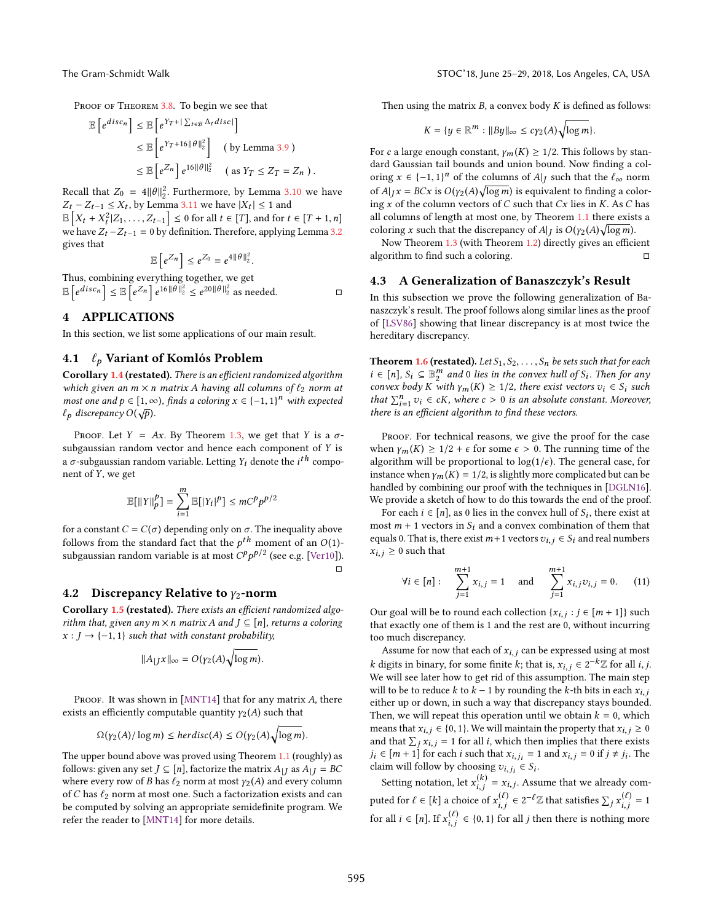Proof of THEOREM [3.8.](#page-6-3) To begin we see that f de engelskap fan de engelske kom

$$
\mathbb{E}\left[e^{disc_n}\right] \leq \mathbb{E}\left[e^{Y_T + |\sum_{t \in \mathcal{B}} \Delta_t disc|}\right]
$$
  
\n
$$
\leq \mathbb{E}\left[e^{Y_T + 16\|\theta\|_2^2}\right] \quad \text{(by Lemma 3.9)}
$$
  
\n
$$
\leq \mathbb{E}\left[e^{Z_n}\right]e^{16\|\theta\|_2^2} \quad \text{(as } Y_T \leq Z_T = Z_n \text{ ).}
$$

Recall that  $Z_0 = 4||\theta||_2^2$ . Furthermore, by Lemma [3.10](#page-7-1) we have  $Z_1 = Z_2$ ,  $\leq X_1$  by Lemma 3.11 we have  $|X_2| \leq 1$  and  $Z_t - Z_{t-1} \leq X_t$ , by Lemma [3.11](#page-7-2) we have  $|X_t| \leq 1$  and  $\sum_{r=1}^{\infty} |X_r| \leq 2$  for all  $t \in [T]$  and for t  $\mathbb{E}\left[X_t + X_t^2 | Z_1, \ldots, Z_{t-1}\right] \leq 0$  for all  $t \in [T]$ , and for  $t \in [T + 1, n]$ <br>we have  $Z = Z_0 = 0$  by definition. Therefore, applying Lamma 2.2 we have  $Z_t - Z_{t-1} = 0$  by definition. Therefore, applying Lemma [3.2](#page-3-2) gives that f g

$$
\mathbb{E}\left[e^{Z_n}\right] \leq e^{Z_0} = e^{4\|\theta\|_2^2}.
$$

 $\mathbb{E}\left[e^{Z_n}\right] \leq e^{Z_0} = e^{4||\theta||_2^2}.$  Thus, combining everything together, we get E  $e^{disc_n}$   $\leq \mathbb{E}\left[e^{Z_n}\right]e^{16\|\theta\|_2^2} \leq e^{20\|\theta\|_2^2}$  as needed.  $\square$ 

## <span id="page-8-0"></span>4 APPLICATIONS

In this section, we list some applications of our main result.

## 4.1  $\ell_p$  Variant of Komlós Problem

Corollary [1.4](#page-2-4) (restated). There is an efficient randomized algorithm which given an  $m \times n$  matrix A having all columns of  $\ell_2$  norm at most one and  $p \in [1, \infty)$ , finds a coloring  $x \in \{-1, 1\}^n$  with expected  $f_1$  discrepancy  $O(\sqrt{n})$  $\ell_p$  discrepancy  $O(\sqrt{p}).$ 

PROOF. Let  $Y = Ax$ . By Theorem [1.3,](#page-2-0) we get that Y is a  $\sigma$ subgaussian random vector and hence each component of Y is a σ-subgaussian random variable. Letting  $Y_i$  denote the  $i^{th}$  compo-<br>nent of  $Y$ , we get nent of Y, we get

$$
\mathbb{E}[||Y||_p^p] = \sum_{i=1}^m \mathbb{E}[|Y_i|^p] \leq mC^p p^{p/2}
$$

for a constant  $C = C(\sigma)$  depending only on  $\sigma$ . The inequality above follows from the standard fact that the  $p^{th}$  moment of an  $O(1)$ -<br>subsquesion random variable is at most  $CP^{p}/2$  (see a.g.  $[Var10]$ ) subgaussian random variable is at most  $C^p p^{p/2}$  (see e.g. [\[Ver10\]](#page-10-35)).  $\Box$ 

### 4.2 Discrepancy Relative to  $y_2$ -norm

Corollary [1.5](#page-2-5) (restated). There exists an efficient randomized algorithm that, given any  $m \times n$  matrix A and  $J \subseteq [n]$ , returns a coloring  $x : J \rightarrow \{-1, 1\}$  such that with constant probability,

$$
||A_{|J}x||_{\infty} = O(\gamma_2(A)\sqrt{\log m}).
$$

PROOF. It was shown in [\[MNT14\]](#page-10-21) that for any matrix  $A$ , there exists an efficiently computable quantity  $\gamma_2(A)$  such that

$$
\Omega(\gamma_2(A)/\log m) \le \text{herdisc}(A) \le O(\gamma_2(A)\sqrt{\log m}).
$$

The upper bound above was proved using Theorem [1.1](#page-1-0) (roughly) as follows: given any set  $J \subseteq [n]$ , factorize the matrix  $A_{|J}$  as  $A_{|J} = BC$ where every row of B has  $\ell_2$  norm at most  $\gamma_2(A)$  and every column of C has  $\ell_2$  norm at most one. Such a factorization exists and can be computed by solving an appropriate semidefinite program. We refer the reader to [\[MNT14\]](#page-10-21) for more details.

Then using the matrix  $B$ , a convex body  $K$  is defined as follows:

$$
K = \{y \in \mathbb{R}^m : ||By||_{\infty} \le c\gamma_2(A)\sqrt{\log m}\}.
$$

For c a large enough constant,  $\gamma_m(K) \geq 1/2$ . This follows by standard Gaussian tail bounds and union bound. Now finding a coloring  $x \in \{-1, 1\}^n$  of the columns of  $A|_J$  such that the  $\ell_{\infty}$  norm of  $A|_J = PC$  is  $O(u, (A)$ . Learn) is conjugated to finding a solar of  $A|_{J}x = BCx$  is  $O(y_2(A)\sqrt{\log m})$  is equivalent to finding a color-<br>ing x of the column vectors of C such that Cx lies in K, As C has ing  $x$  of the column vectors of  $C$  such that  $Cx$  lies in  $K$ . As  $C$  has all columns of length at most one, by Theorem [1.1](#page-1-0) there exists a coloring x such that the discrepancy of A|J is  $O(y_2(A)\sqrt{\log m})$ .<br>Now Theorem 1.3 (with Theorem 1.2) directly gives an effici-

Now Theorem [1.3](#page-2-0) (with Theorem [1.2\)](#page-1-1) directly gives an efficient algorithm to find such a coloring.  $□$ 

### 4.3 A Generalization of Banaszczyk's Result

In this subsection we prove the following generalization of Banaszczyk's result. The proof follows along similar lines as the proof of [\[LSV86\]](#page-10-36) showing that linear discrepancy is at most twice the hereditary discrepancy.

**Theorem [1.6](#page-2-2) (restated).** Let  $S_1, S_2, \ldots, S_n$  be sets such that for each  $i \in [n]$ ,  $S_i \subseteq \mathbb{B}_i^m$  and 0 lies in the convex hull of  $S_i$ . Then for any<br>convex hody K with  $\chi$  (K) > 1/2 there exist vectors  $v_i \in S$ ; such convex body K with  $\gamma_m(K) \geq 1/2$ , there exist vectors  $v_i \in S_i$  such that  $\sum_{i=1}^{n} v_i \in cK$ , where  $c > 0$  is an absolute constant. Moreover, there is an efficient electric to find these vectors that  $\sum_{i=1}^{\infty} v_i \in cK$ , where  $c > 0$  is an absolute co<br>there is an efficient algorithm to find these vectors.

PROOF. For technical reasons, we give the proof for the case when  $\gamma_m(K) \geq 1/2 + \epsilon$  for some  $\epsilon > 0$ . The running time of the algorithm will be proportional to  $log(1/\epsilon)$ . The general case, for instance when  $\gamma_m(K) = 1/2$ , is slightly more complicated but can be handled by combining our proof with the techniques in [\[DGLN16\]](#page-10-26). We provide a sketch of how to do this towards the end of the proof.

For each  $i \in [n]$ , as 0 lies in the convex hull of  $S_i$ , there exist at net  $m + 1$  vectors in  $S_i$  and a convex combination of them that most  $m + 1$  vectors in  $S_i$  and a convex combination of them that equals 0. That is, there exist  $m+1$  vectors  $v_{i,j} \in S_i$  and real numbers  $x_{i,j} \geq 0$  such that

$$
\forall i \in [n]: \quad \sum_{j=1}^{m+1} x_{i,j} = 1 \quad \text{and} \quad \sum_{j=1}^{m+1} x_{i,j} v_{i,j} = 0. \quad (11)
$$

Our goal will be to round each collection  $\{x_{i,j} : j \in [m+1]\}$  such that exactly one of them is 1 and the rest are 0, without incurring that exactly one of them is 1 and the rest are 0, without incurring too much discrepancy.

Assume for now that each of  $x_{i,j}$  can be expressed using at most k digits in binary, for some finite k; that is,  $x_{i,j} \in 2^{-k}\mathbb{Z}$  for all *i*, *j*.<br>We will see later how to get rid of this assumption. The main step We will see later how to get rid of this assumption. The main step will to be to reduce k to  $k - 1$  by rounding the k-th bits in each  $x_{i,j}$ either up or down, in such a way that discrepancy stays bounded. Then, we will repeat this operation until we obtain  $k = 0$ , which means that  $x_{i,j} \in \{0, 1\}$ . We will maintain the property that  $x_{i,j} \geq 0$ and that  $\sum_j x_{i,j} = 1$  for all i, which then implies that there exists  $i_i \in [m+1]$  for each i such that  $x_{i+1} = 1$  and  $x_{i+1} = 0$  if  $i \neq i$ . The  $j_i \in [m+1]$  for each *i* such that  $x_{i,j_i} = 1$  and  $x_{i,j} = 0$  if  $j \neq j_i$ . The claim will follow by choosing  $x_{i,j} \in S$ . claim will follow by choosing  $v_{i,j_i} \in S_i$ .

Setting notation, let  $x_{i,j}^{(k)} = x_{i,j}$ . Assume that we already computed for  $\ell \in [k]$  a choice of  $x_{i,j}^{(\ell)} \in 2^{-\ell} \mathbb{Z}$  that satisfies  $\sum_j x_{i,j}^{(\ell)} = 1$ for all  $i \in [n]$ . If  $x_{i,j}^{(\ell)} \in \{0,1\}$  for all *j* then there is nothing more  $\ddot{\phantom{a}}$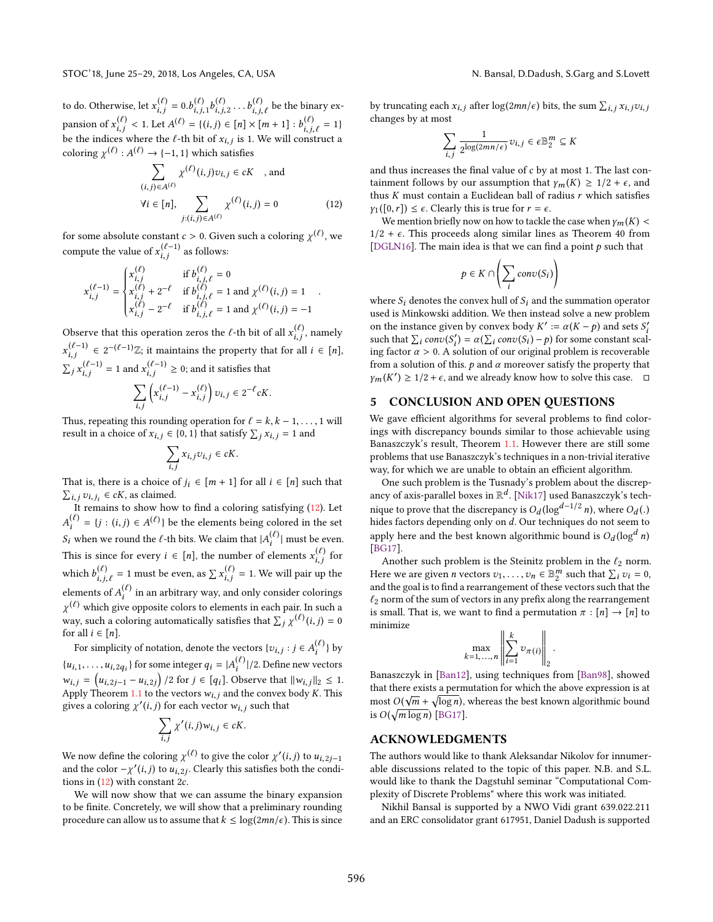$\ddot{\phantom{a}}$ 

to do. Otherwise, let  $x_{i,j}^{(\ell)} = 0.b_{i,j,1}^{(\ell)}b_{i,j,2}^{(\ell)} \dots b_{i,j,\ell}^{(\ell)}$  be the binary expansion of  $x_{i,j}^{(\ell)} < 1$ . Let  $A^{(\ell)} = \{(i,j) \in [n] \times [m+1] : b_{i,j,\ell}^{(\ell)} = 1\}$ <br>be the indices where the  $\ell$ -th bit of  $x_i :$  is 1. We will construct a be the indices where the  $\ell$ -th bit of  $x_{i,j}$  is 1. We will construct a solution  $u(\ell)$ ,  $u(\ell)$  is  $(1, 1)$  which sotiation coloring  $\chi^{(\ell)} : A^{(\ell)} \to \{-1, 1\}$  which satisfies

<span id="page-9-0"></span>
$$
\sum_{(i,j)\in A^{(\ell)}} \chi^{(\ell)}(i,j)v_{i,j} \in cK \quad \text{, and}
$$
\n
$$
\forall i \in [n], \sum_{j:(i,j)\in A^{(\ell)}} \chi^{(\ell)}(i,j) = 0 \tag{12}
$$

for some absolute constant  $c > 0$ . Given such a coloring  $\chi^{(\ell)}$ , we compute the value of  $x_{i,j}^{(\ell-1)}$  as follows:

$$
x_{i,j}^{(\ell-1)} = \begin{cases} x_{i,j}^{(\ell)} & \text{if } b_{i,j,\ell}^{(\ell)} = 0 \\ x_{i,j}^{(\ell)} + 2^{-\ell} & \text{if } b_{i,j,\ell}^{(\ell)} = 1 \text{ and } \chi^{(\ell)}(i,j) = 1 \\ x_{i,j}^{(\ell)} - 2^{-\ell} & \text{if } b_{i,j,\ell}^{(\ell)} = 1 \text{ and } \chi^{(\ell)}(i,j) = -1 \end{cases}.
$$

Observe that this operation zeros the  $\ell$ -th bit of all  $x_{i,j}^{(\ell)}$ , namely  $\begin{aligned} (\ell^{-1}) \in 2^{-(\ell-1)}\mathbb{Z}; \text{ it maintains the property that for all } i \in [n],\\ (\ell^{-1}) \in \text{I}(\ell^{-1}) \end{aligned}$  $\sum_j x_{i,j}^{(\ell-1)} = 1$  and  $x_{i,j}^{(\ell-1)} \ge 0$ ; and it satisfies that  $\ddot{\phantom{a}}$  $\sum$  $x_{i,j}^{(\ell-1)} - x_{i,j}^{(\ell)}$  $\bigg\}v_{i,j}\in 2^{-\ell}cK.$ 

Thus, repeating this rounding operation for  $\ell = k, k - 1, ..., 1$  will<br>result in a choice of  $x : \xi \neq 0, 1$  that satisfy  $\Sigma, x : \xi = 1$  and result in a choice of  $x_{i,j} \in \{0, 1\}$  that satisfy  $\sum_j x_{i,j} = 1$  and

$$
\sum_{i,j} x_{i,j} v_{i,j} \in cK.
$$

That is, there is a choice of  $j_i \in [m+1]$  for all  $i \in [n]$  such that  $\sum_{i=1}^n j_i \in C_K$  as claimed  $\sum_{i,j} v_{i,j_i} \in cK$ , as claimed.<br>It remains to show how

It remains to show how to find a coloring satisfying  $(12)$ . Let  $S_i$  when we round the  $\ell$ -th bits. We claim that  $|A_i^{(\ell)}|$  must be even.  $\mathbf{A}^{(l)}$  = {j : (i, j)  $\in$  A<sup>(l)</sup>} be the elements being colored in the set This is since for every  $i \in [n]$ , the number of elements  $x_{i,j}^{(\ell)}$  for which  $b_{i,j,\ell}^{(\ell)} = 1$  must be even, as  $\sum x_{i,j}^{(\ell)} = 1$ . We will pair up the elements of  $A_i^{(\ell)}$  in an arbitrary way, and only consider colorings  $^{(\ell)}$  which give opposite colors to elements in each pair. In such a way, such a coloring automatically satisfies that  $\sum_j \chi^{(\ell)}(i,j) = 0$ <br>for all  $i \in [n]$ for all  $i \in [n]$ .

For simplicity of notation, denote the vectors  $\{v_{i,j} : j \in A_i^{(\ell)}\}$  by  $\{u_{i,1}, \ldots, u_{i,2q_i}\}$  for some integer  $q_i = |A_i^{(\ell)}|/2$ . Define new vectors  $w_{i,j} = (u_{i,2j-1} - u_{i,2j})/2$  for  $j \in [q_i]$ . Observe that  $||w_{i,j}||_2 \le 1$ . Apply Theorem [1.1](#page-1-0) to the vectors  $w_{i,j}$  and the convex body K. This gives a coloring  $\chi'(i, j)$  for each vector  $w_{i,j}$  such that

$$
\sum_{i,j} \chi'(i,j) w_{i,j} \in cK.
$$

We now define the coloring  $\chi^{(\ell)}$  to give the color  $\chi'(i, j)$  to  $u_{i, 2j-1}$ <br>and the color  $-\chi'(i, j)$  to  $u_{i, 2j}$ . Clearly this satisfies both the condition and the color  $-\chi'(i, j)$  to  $u_{i, 2j}$ . Clearly this satisfies both the conditions in (12) with constant 2c tions in  $(12)$  with constant 2c.

We will now show that we can assume the binary expansion to be finite. Concretely, we will show that a preliminary rounding procedure can allow us to assume that  $k \leq \log(2mn/\epsilon)$ . This is since by truncating each  $x_{i,j}$  after  $\log(2mn/\epsilon)$  bits, the sum  $\sum_{i,j} x_{i,j} v_{i,j}$ changes by at most

$$
\sum_{i,j} \frac{1}{2^{\log(2mn/\epsilon)}} v_{i,j} \in \epsilon \mathbb{B}_2^m \subseteq K
$$

 $\ddot{\phantom{a}}$ and thus increases the final value of  $c$  by at most 1. The last containment follows by our assumption that  $\gamma_m(K) \geq 1/2 + \epsilon$ , and thus  $K$  must contain a Euclidean ball of radius  $r$  which satisfies  $\gamma_1([0,r]) \leq \epsilon$ . Clearly this is true for  $r = \epsilon$ .

We mention briefly now on how to tackle the case when  $\gamma_m(K)$  <  $1/2 + \epsilon$ . This proceeds along similar lines as Theorem 40 from [\[DGLN16\]](#page-10-26). The main idea is that we can find a point  $p$  such that

$$
p \in K \cap \left(\sum_i conv(S_i)\right)
$$

where  $S_i$  denotes the convex hull of  $S_i$  and the summation operator<br>used is Minkowski addition. We then instead solve a new problem used is Minkowski addition. We then instead solve a new problem on the instance given by convex body  $K' := \alpha(K - p)$  and sets  $S'_i$ <br>such that  $\sum_{i} \cos(\alpha(\sum_{i} \cos(\alpha(i-1)-n))$  for some constant scalsuch that  $\sum_i conv(S_i') = \alpha(\sum_i conv(S_i) - p)$  for some constant scal-<br>ing factor  $\alpha > 0$ . A solution of our original problem is recoverable ing factor  $\alpha > 0$ . A solution of our original problem is recoverable<br>from a solution of this A and  $\alpha$  moreover satisfy the property that from a solution of this.  $p$  and  $\alpha$  moreover satisfy the property that  $\sum_{k=1}^{n}$  $(2) \ge 1/2 + \epsilon$ , and we already know how to solve this case.  $\Box$ 

## 5 CONCLUSION AND OPEN QUESTIONS

We gave efficient algorithms for several problems to find colorings with discrepancy bounds similar to those achievable using Banaszczyk's result, Theorem [1.1.](#page-1-0) However there are still some problems that use Banaszczyk's techniques in a non-trivial iterative way, for which we are unable to obtain an efficient algorithm.

One such problem is the Tusnady's problem about the discrepancy of axis-parallel boxes in  $\mathbb{R}^d$ . [\[Nik17\]](#page-10-24) used Banaszczyk's technique to prove that the discrepancy is  $O_d(\log^{d-1/2} n)$ , where  $O_d$ <br>hides factors depending only on d. Our techniques do not seem hides factors depending only on d. Our techniques do not seem to<br>analy have and the heat lineur algorithmic hourd is  $Q_1(\text{log}^d x)$ apply here and the best known algorithmic bound is  $O_d(\log^d n)$ <br>[BC17] [\[BG17\]](#page-10-28).

Another such problem is the Steinitz problem in the  $\ell_2$  norm. Here we are given *n* vectors  $v_1, \ldots, v_n \in \mathbb{B}_2^m$  such that  $\sum_i v_i = 0$ , and the socialists find a rearrangement of these vectors such that the and the goal is to find a rearrangement of these vectors such that the  $\ell_2$  norm of the sum of vectors in any prefix along the rearrangement is small. That is, we want to find a permutation  $\pi : [n] \rightarrow [n]$  to minimize  $\overline{\mathbf{u}}$  $\overline{1}$ 

$$
\max_{k=1,\ldots,n}\left\|\sum_{i=1}^k v_{\pi(i)}\right\|_2.
$$

Banaszczyk in [\[Ban12\]](#page-10-23), using techniques from [\[Ban98\]](#page-10-20), showed that there exists a permutation for which the above expression is at  $\sqrt{\frac{1}{n}}$ most  $O(\sqrt{m} + \sqrt{\log n})$ , whereas the best known algorithmic bound<br>is  $O(\sqrt{\log \log n})$ .  $[BC17]$ is  $O(\sqrt{m \log n})$  [\[BG17\]](#page-10-28).

### ACKNOWLEDGMENTS

The authors would like to thank Aleksandar Nikolov for innumerable discussions related to the topic of this paper. N.B. and S.L. would like to thank the Dagstuhl seminar "Computational Complexity of Discrete Problems" where this work was initiated.

Nikhil Bansal is supported by a NWO Vidi grant 639.022.211 and an ERC consolidator grant 617951, Daniel Dadush is supported